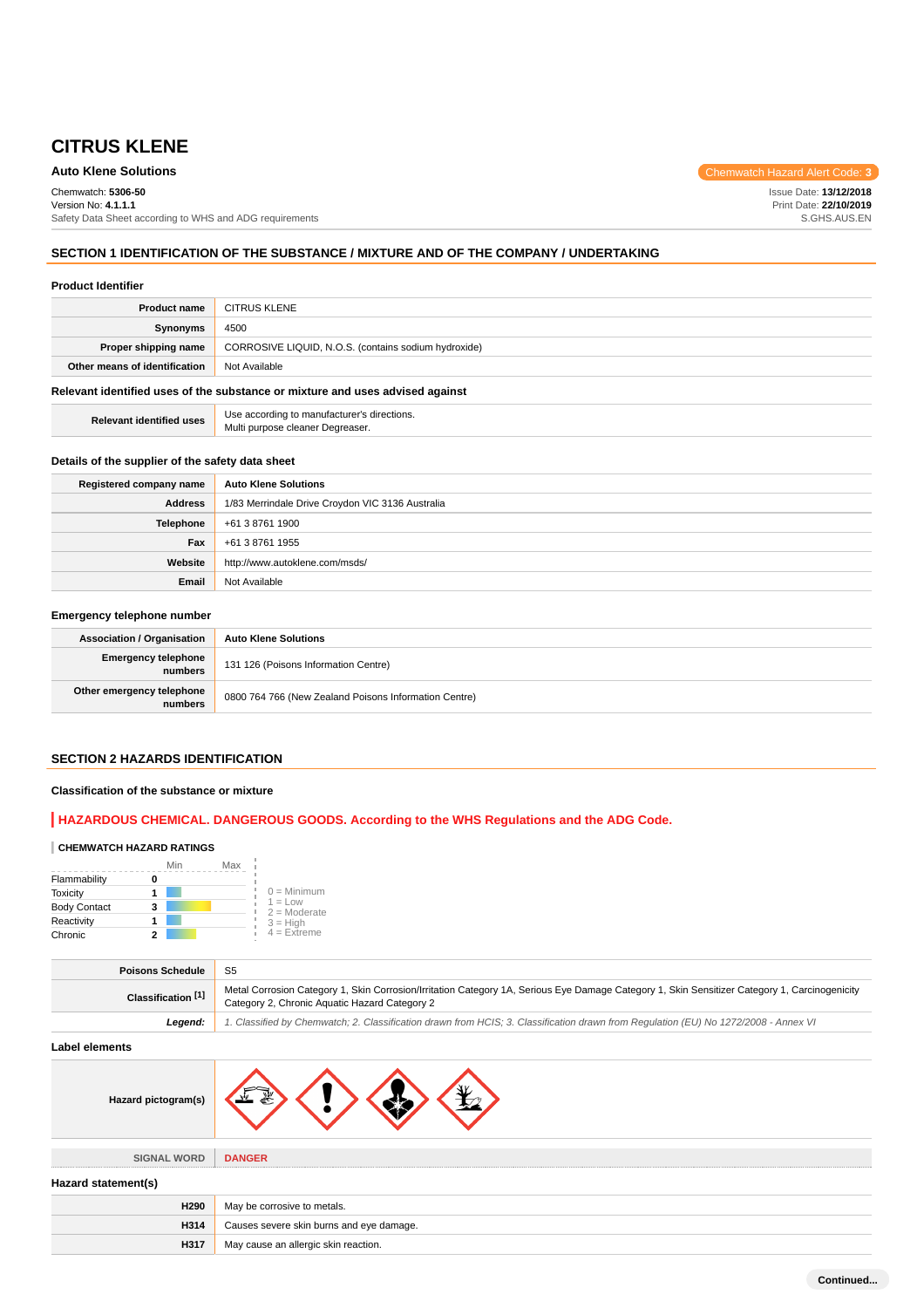# **Auto Klene Solutions** Chemwatch Hazard Alert Code: 3

Chemwatch: **5306-50** Version No: **4.1.1.1** Safety Data Sheet according to WHS and ADG requirements Issue Date: **13/12/2018** Print Date: **22/10/2019** S.GHS.AUS.EN

# **SECTION 1 IDENTIFICATION OF THE SUBSTANCE / MIXTURE AND OF THE COMPANY / UNDERTAKING**

#### **Product Identifier**

| <b>Product name</b>                                                           | <b>CITRUS KLENE</b>                                  |
|-------------------------------------------------------------------------------|------------------------------------------------------|
| Synonyms                                                                      | 4500                                                 |
| Proper shipping name                                                          | CORROSIVE LIQUID, N.O.S. (contains sodium hydroxide) |
| Other means of identification                                                 | Not Available                                        |
| Relevant identified uses of the substance or mixture and uses advised against |                                                      |

**Relevant identified uses Use according to manufacturer's directions.** Multi purpose cleaner Degreaser.

#### **Details of the supplier of the safety data sheet**

| Registered company name | <b>Auto Klene Solutions</b>                      |
|-------------------------|--------------------------------------------------|
| Address                 | 1/83 Merrindale Drive Croydon VIC 3136 Australia |
| <b>Telephone</b>        | +61 3 8761 1900                                  |
| Fax                     | +61 3 8761 1955                                  |
| Website                 | http://www.autoklene.com/msds/                   |
| Email                   | Not Available                                    |

#### **Emergency telephone number**

| <b>Association / Organisation</b>    | <b>Auto Klene Solutions</b>                           |
|--------------------------------------|-------------------------------------------------------|
| Emergency telephone<br>numbers       | 131 126 (Poisons Information Centre)                  |
| Other emergency telephone<br>numbers | 0800 764 766 (New Zealand Poisons Information Centre) |

# **SECTION 2 HAZARDS IDENTIFICATION**

## **Classification of the substance or mixture**

### **HAZARDOUS CHEMICAL. DANGEROUS GOODS. According to the WHS Regulations and the ADG Code.**

### **CHEMWATCH HAZARD RATINGS**

|                     | Min<br>Max |                             |
|---------------------|------------|-----------------------------|
| Flammability        |            |                             |
| <b>Toxicity</b>     |            | $0 =$ Minimum               |
| <b>Body Contact</b> | з          | $1 = Low$<br>$2 =$ Moderate |
| Reactivity          |            | $3 =$ High                  |
| Chronic             |            | $4$ = Extreme               |

| <b>Poisons Schedule</b> | -S5                                                                                                                                                                                            |
|-------------------------|------------------------------------------------------------------------------------------------------------------------------------------------------------------------------------------------|
| Classification [1]      | Metal Corrosion Category 1, Skin Corrosion/Irritation Category 1A, Serious Eye Damage Category 1, Skin Sensitizer Category 1, Carcinogenicity<br>Category 2, Chronic Aquatic Hazard Category 2 |
| Leaend:                 | 1. Classified by Chemwatch; 2. Classification drawn from HCIS; 3. Classification drawn from Requlation (EU) No 1272/2008 - Annex VI                                                            |

#### **Label elements**

| LAUGI GIGIHGHIS                          |  |
|------------------------------------------|--|
|                                          |  |
| <b>DANGER</b>                            |  |
|                                          |  |
| May be corrosive to metals.              |  |
| Causes severe skin burns and eye damage. |  |
| May cause an allergic skin reaction.     |  |
|                                          |  |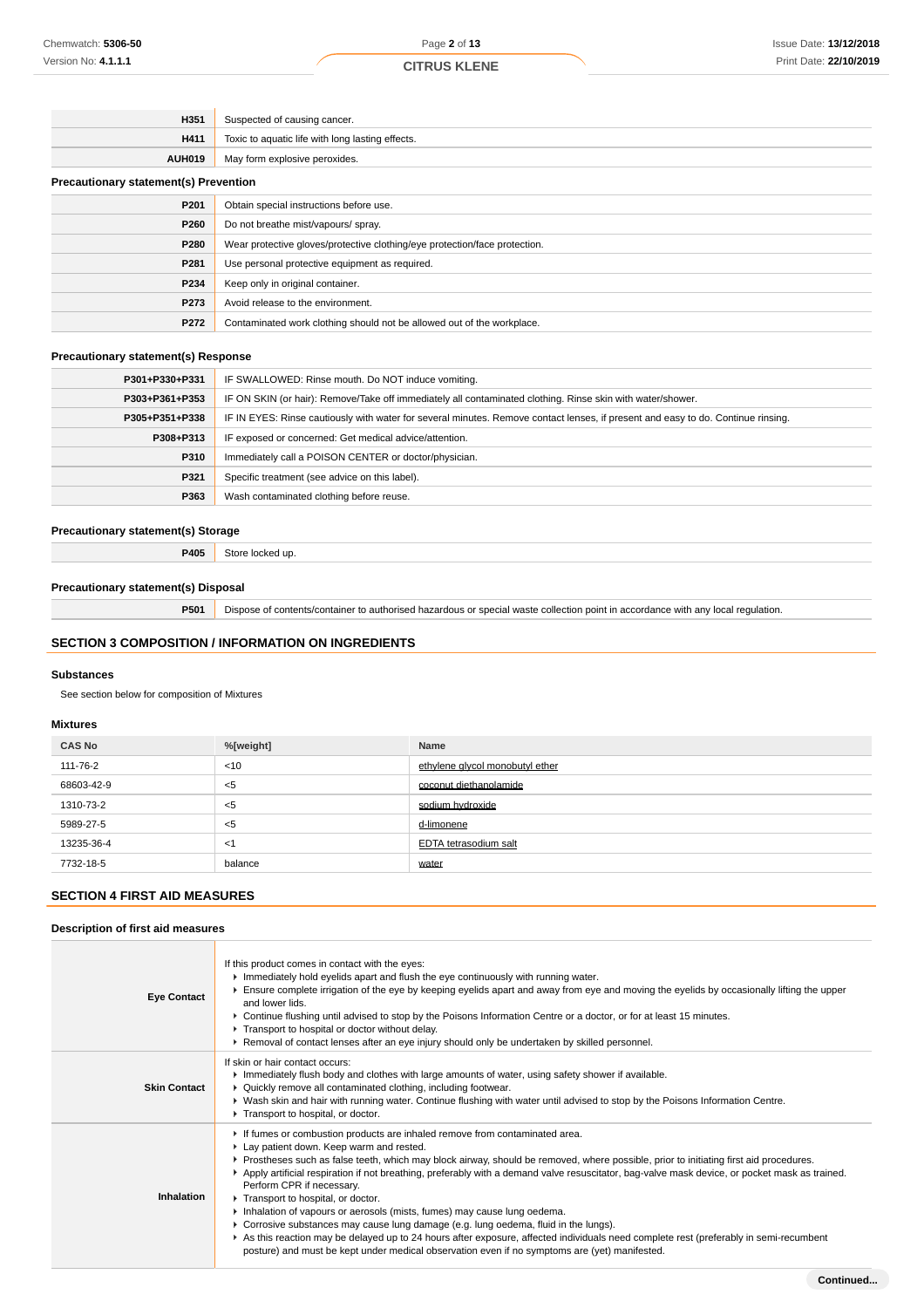| H351                                         | Suspected of causing cancer.                                               |
|----------------------------------------------|----------------------------------------------------------------------------|
| H411                                         | Toxic to aquatic life with long lasting effects.                           |
| <b>AUH019</b>                                | May form explosive peroxides.                                              |
| <b>Precautionary statement(s) Prevention</b> |                                                                            |
| P201                                         | Obtain special instructions before use.                                    |
| P260                                         | Do not breathe mist/vapours/ spray.                                        |
| P280                                         | Wear protective gloves/protective clothing/eye protection/face protection. |
| P281                                         | Use personal protective equipment as required.                             |
| P234                                         | Keep only in original container.                                           |
| P273                                         | Avoid release to the environment.                                          |
| P272                                         | Contaminated work clothing should not be allowed out of the workplace.     |

### **Precautionary statement(s) Response**

| P301+P330+P331 | IF SWALLOWED: Rinse mouth. Do NOT induce vomiting.                                                                               |
|----------------|----------------------------------------------------------------------------------------------------------------------------------|
| P303+P361+P353 | IF ON SKIN (or hair): Remove/Take off immediately all contaminated clothing. Rinse skin with water/shower.                       |
| P305+P351+P338 | IF IN EYES: Rinse cautiously with water for several minutes. Remove contact lenses, if present and easy to do. Continue rinsing. |
| P308+P313      | IF exposed or concerned: Get medical advice/attention.                                                                           |
| P310           | Immediately call a POISON CENTER or doctor/physician.                                                                            |
| P321           | Specific treatment (see advice on this label).                                                                                   |
| P363           | Wash contaminated clothing before reuse.                                                                                         |

### **Precautionary statement(s) Storage**

**P405** Store locked up.

### **Precautionary statement(s) Disposal**

**P501** Dispose of contents/container to authorised hazardous or special waste collection point in accordance with any local regulation.

# **SECTION 3 COMPOSITION / INFORMATION ON INGREDIENTS**

#### **Substances**

See section below for composition of Mixtures

### **Mixtures**

| <b>CAS No</b> | %[weight] | Name                            |
|---------------|-----------|---------------------------------|
| 111-76-2      | $<$ 10    | ethylene glycol monobutyl ether |
| 68603-42-9    | $<$ 5     | coconut diethanolamide          |
| 1310-73-2     | $<$ 5     | sodium hydroxide                |
| 5989-27-5     | $<$ 5     | d-limonene                      |
| 13235-36-4    | $<$ 1     | EDTA tetrasodium salt           |
| 7732-18-5     | balance   | water                           |

# **SECTION 4 FIRST AID MEASURES**

## **Description of first aid measures**

| <b>Eye Contact</b>  | If this product comes in contact with the eyes:<br>Immediately hold eyelids apart and flush the eye continuously with running water.<br>Ensure complete irrigation of the eye by keeping eyelids apart and away from eye and moving the eyelids by occasionally lifting the upper<br>and lower lids.<br>▶ Continue flushing until advised to stop by the Poisons Information Centre or a doctor, or for at least 15 minutes.<br>Transport to hospital or doctor without delay.<br>▶ Removal of contact lenses after an eye injury should only be undertaken by skilled personnel.                                                                                                                                                                                                                                                                                                                |
|---------------------|--------------------------------------------------------------------------------------------------------------------------------------------------------------------------------------------------------------------------------------------------------------------------------------------------------------------------------------------------------------------------------------------------------------------------------------------------------------------------------------------------------------------------------------------------------------------------------------------------------------------------------------------------------------------------------------------------------------------------------------------------------------------------------------------------------------------------------------------------------------------------------------------------|
| <b>Skin Contact</b> | If skin or hair contact occurs:<br>Immediately flush body and clothes with large amounts of water, using safety shower if available.<br>• Quickly remove all contaminated clothing, including footwear.<br>▶ Wash skin and hair with running water. Continue flushing with water until advised to stop by the Poisons Information Centre.<br>Transport to hospital, or doctor.                                                                                                                                                                                                                                                                                                                                                                                                                                                                                                                   |
| <b>Inhalation</b>   | If fumes or combustion products are inhaled remove from contaminated area.<br>Lay patient down. Keep warm and rested.<br>▶ Prostheses such as false teeth, which may block airway, should be removed, where possible, prior to initiating first aid procedures.<br>▶ Apply artificial respiration if not breathing, preferably with a demand valve resuscitator, bag-valve mask device, or pocket mask as trained.<br>Perform CPR if necessary.<br>Transport to hospital, or doctor.<br>Inhalation of vapours or aerosols (mists, fumes) may cause lung oedema.<br>► Corrosive substances may cause lung damage (e.g. lung oedema, fluid in the lungs).<br>As this reaction may be delayed up to 24 hours after exposure, affected individuals need complete rest (preferably in semi-recumbent<br>posture) and must be kept under medical observation even if no symptoms are (yet) manifested. |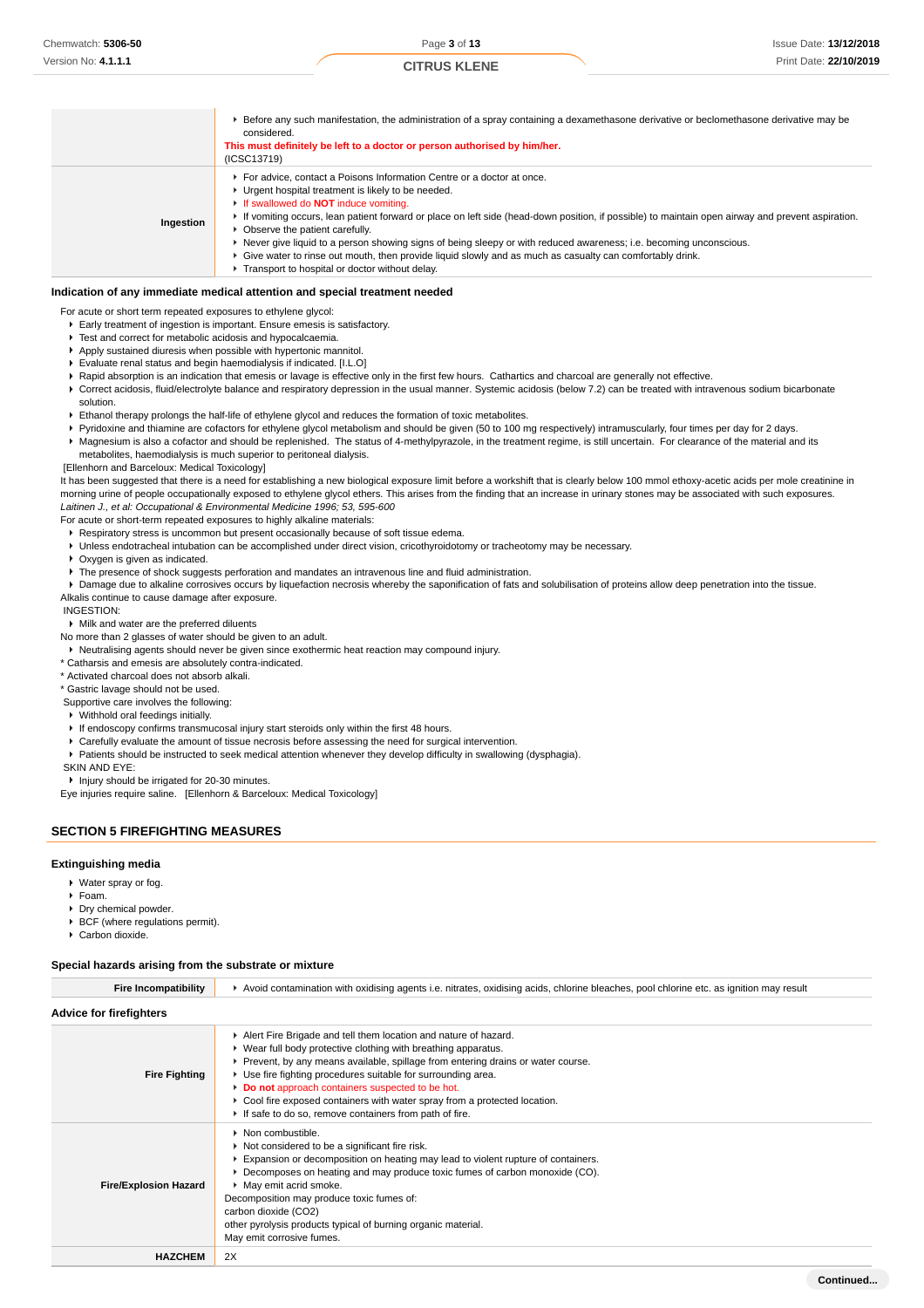|           | Before any such manifestation, the administration of a spray containing a dexamethasone derivative or beclomethasone derivative may be<br>considered.<br>This must definitely be left to a doctor or person authorised by him/her.<br>(ICSC13719)                                                                                                                                                                                                                                                                                                                                                                                                          |
|-----------|------------------------------------------------------------------------------------------------------------------------------------------------------------------------------------------------------------------------------------------------------------------------------------------------------------------------------------------------------------------------------------------------------------------------------------------------------------------------------------------------------------------------------------------------------------------------------------------------------------------------------------------------------------|
| Ingestion | For advice, contact a Poisons Information Centre or a doctor at once.<br>• Urgent hospital treatment is likely to be needed.<br>If swallowed do <b>NOT</b> induce vomiting.<br>If vomiting occurs, lean patient forward or place on left side (head-down position, if possible) to maintain open airway and prevent aspiration.<br>• Observe the patient carefully.<br>▶ Never give liquid to a person showing signs of being sleepy or with reduced awareness; i.e. becoming unconscious.<br>► Give water to rinse out mouth, then provide liquid slowly and as much as casualty can comfortably drink.<br>Transport to hospital or doctor without delay. |

#### **Indication of any immediate medical attention and special treatment needed**

For acute or short term repeated exposures to ethylene glycol:

- Early treatment of ingestion is important. Ensure emesis is satisfactory.
- **F** Test and correct for metabolic acidosis and hypocalcaemia.
- Apply sustained diuresis when possible with hypertonic mannitol.
- Evaluate renal status and begin haemodialysis if indicated. [I.L.O]
- ▶ Rapid absorption is an indication that emesis or lavage is effective only in the first few hours. Cathartics and charcoal are generally not effective.
- ▶ Correct acidosis, fluid/electrolyte balance and respiratory depression in the usual manner. Systemic acidosis (below 7.2) can be treated with intravenous sodium bicarbonate solution.
- Ethanol therapy prolongs the half-life of ethylene glycol and reduces the formation of toxic metabolites.
- Pyridoxine and thiamine are cofactors for ethylene glycol metabolism and should be given (50 to 100 mg respectively) intramuscularly, four times per day for 2 days. Magnesium is also a cofactor and should be replenished. The status of 4-methylpyrazole, in the treatment regime, is still uncertain. For clearance of the material and its metabolites, haemodialysis is much superior to peritoneal dialysis.

# [Ellenhorn and Barceloux: Medical Toxicology]

It has been suggested that there is a need for establishing a new biological exposure limit before a workshift that is clearly below 100 mmol ethoxy-acetic acids per mole creatinine in morning urine of people occupationally exposed to ethylene glycol ethers. This arises from the finding that an increase in urinary stones may be associated with such exposures. Laitinen J., et al: Occupational & Environmental Medicine 1996; 53, 595-600

For acute or short-term repeated exposures to highly alkaline materials:

- Respiratory stress is uncommon but present occasionally because of soft tissue edema.
- Unless endotracheal intubation can be accomplished under direct vision, cricothyroidotomy or tracheotomy may be necessary.
- **Dxygen is given as indicated.**
- The presence of shock suggests perforation and mandates an intravenous line and fluid administration.
- Damage due to alkaline corrosives occurs by liquefaction necrosis whereby the saponification of fats and solubilisation of proteins allow deep penetration into the tissue.
- Alkalis continue to cause damage after exposure.

#### INGESTION:

Milk and water are the preferred diluents

- No more than 2 glasses of water should be given to an adult.
- Neutralising agents should never be given since exothermic heat reaction may compound injury.
- \* Catharsis and emesis are absolutely contra-indicated.

\* Activated charcoal does not absorb alkali.

\* Gastric lavage should not be used. Supportive care involves the following:

- Withhold oral feedings initially.
- 
- If endoscopy confirms transmucosal injury start steroids only within the first 48 hours.
- ▶ Carefully evaluate the amount of tissue necrosis before assessing the need for surgical intervention.
- Patients should be instructed to seek medical attention whenever they develop difficulty in swallowing (dysphagia).

#### SKIN AND EYE:

Injury should be irrigated for 20-30 minutes.

Eye injuries require saline. [Ellenhorn & Barceloux: Medical Toxicology]

#### **SECTION 5 FIREFIGHTING MEASURES**

#### **Extinguishing media**

- Water spray or fog.
- $F$ Foam.
- **Dry chemical powder.**
- BCF (where regulations permit).
- ▶ Carbon dioxide.

#### **Special hazards arising from the substrate or mixture**

| <b>Fire Incompatibility</b>    | Avoid contamination with oxidising agents i.e. nitrates, oxidising acids, chlorine bleaches, pool chlorine etc. as ignition may result                                                                                                                                                                                                                                                                                                                                             |
|--------------------------------|------------------------------------------------------------------------------------------------------------------------------------------------------------------------------------------------------------------------------------------------------------------------------------------------------------------------------------------------------------------------------------------------------------------------------------------------------------------------------------|
| <b>Advice for firefighters</b> |                                                                                                                                                                                                                                                                                                                                                                                                                                                                                    |
| <b>Fire Fighting</b>           | Alert Fire Brigade and tell them location and nature of hazard.<br>▶ Wear full body protective clothing with breathing apparatus.<br>► Prevent, by any means available, spillage from entering drains or water course.<br>▶ Use fire fighting procedures suitable for surrounding area.<br>Do not approach containers suspected to be hot.<br>▶ Cool fire exposed containers with water spray from a protected location.<br>If safe to do so, remove containers from path of fire. |
| <b>Fire/Explosion Hazard</b>   | • Non combustible.<br>Not considered to be a significant fire risk.<br>Expansion or decomposition on heating may lead to violent rupture of containers.<br>► Decomposes on heating and may produce toxic fumes of carbon monoxide (CO).<br>May emit acrid smoke.<br>Decomposition may produce toxic fumes of:<br>carbon dioxide (CO2)<br>other pyrolysis products typical of burning organic material.<br>May emit corrosive fumes.                                                |
| <b>HAZCHEM</b>                 | 2X                                                                                                                                                                                                                                                                                                                                                                                                                                                                                 |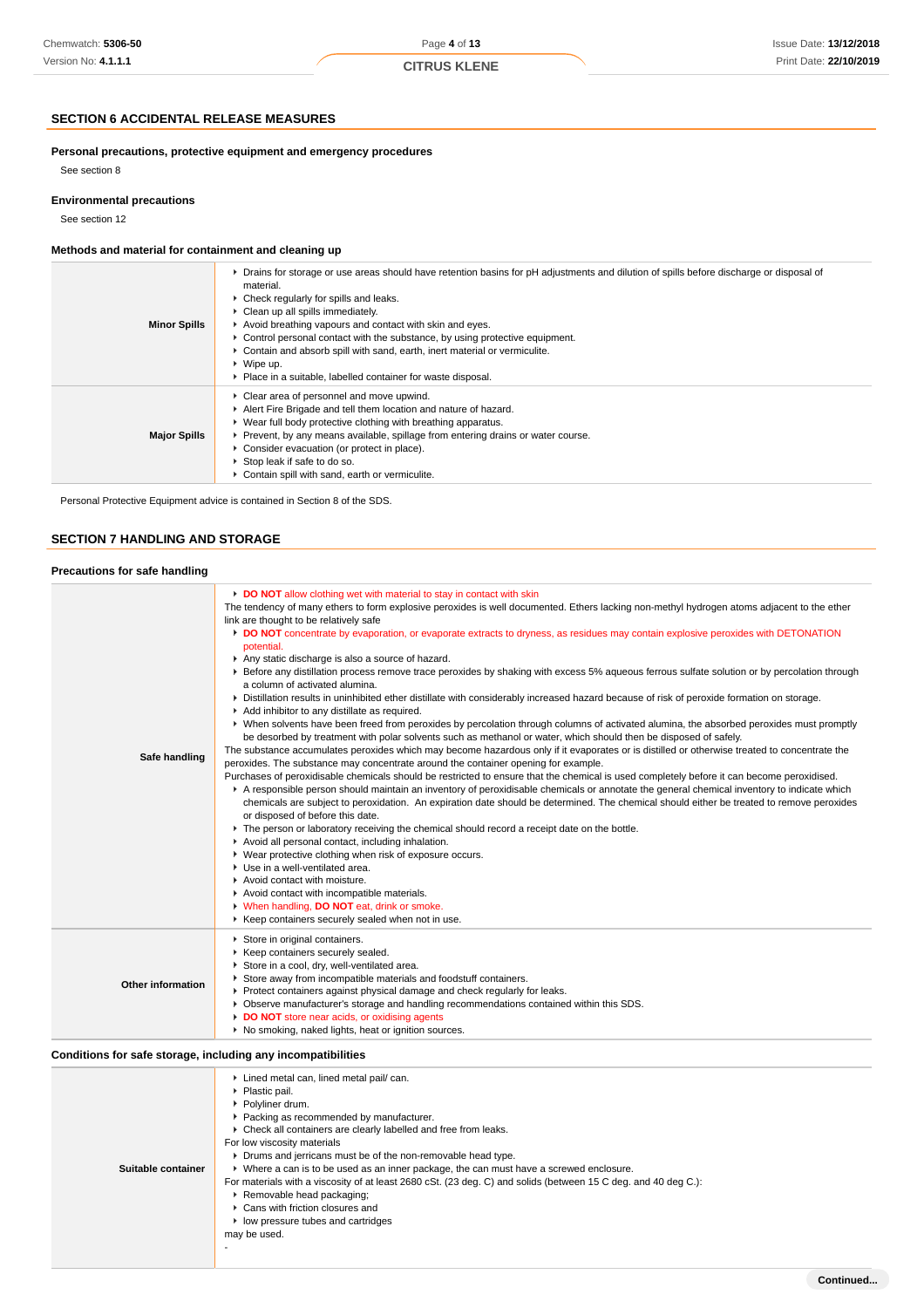## **SECTION 6 ACCIDENTAL RELEASE MEASURES**

**Personal precautions, protective equipment and emergency procedures**

See section 8

### **Environmental precautions**

See section 12

# **Methods and material for containment and cleaning up**

| <b>Minor Spills</b> | • Drains for storage or use areas should have retention basins for pH adjustments and dilution of spills before discharge or disposal of<br>material.<br>• Check regularly for spills and leaks.<br>▶ Clean up all spills immediately.<br>Avoid breathing vapours and contact with skin and eyes.<br>► Control personal contact with the substance, by using protective equipment.<br>• Contain and absorb spill with sand, earth, inert material or vermiculite.<br>$\triangleright$ Wipe up.<br>• Place in a suitable, labelled container for waste disposal. |
|---------------------|-----------------------------------------------------------------------------------------------------------------------------------------------------------------------------------------------------------------------------------------------------------------------------------------------------------------------------------------------------------------------------------------------------------------------------------------------------------------------------------------------------------------------------------------------------------------|
| <b>Major Spills</b> | • Clear area of personnel and move upwind.<br>Alert Fire Brigade and tell them location and nature of hazard.<br>▶ Wear full body protective clothing with breathing apparatus.<br>▶ Prevent, by any means available, spillage from entering drains or water course.<br>• Consider evacuation (or protect in place).<br>▶ Stop leak if safe to do so.<br>Contain spill with sand, earth or vermiculite.                                                                                                                                                         |

Personal Protective Equipment advice is contained in Section 8 of the SDS.

# **SECTION 7 HANDLING AND STORAGE**

| Precautions for safe handling                                |                                                                                                                                                                                                                                                                                                                                                                                                                                                                                                                                                                                                                                                                                                                                                                                                                                                                                                                                                                                                                                                                                                                                                                                                                                                                                                                                                                                                                                                                                                                                                                                                                                                                                                                                                                                                                                                                                                                                                                                                                                                                                                                                                                                                                                                                              |
|--------------------------------------------------------------|------------------------------------------------------------------------------------------------------------------------------------------------------------------------------------------------------------------------------------------------------------------------------------------------------------------------------------------------------------------------------------------------------------------------------------------------------------------------------------------------------------------------------------------------------------------------------------------------------------------------------------------------------------------------------------------------------------------------------------------------------------------------------------------------------------------------------------------------------------------------------------------------------------------------------------------------------------------------------------------------------------------------------------------------------------------------------------------------------------------------------------------------------------------------------------------------------------------------------------------------------------------------------------------------------------------------------------------------------------------------------------------------------------------------------------------------------------------------------------------------------------------------------------------------------------------------------------------------------------------------------------------------------------------------------------------------------------------------------------------------------------------------------------------------------------------------------------------------------------------------------------------------------------------------------------------------------------------------------------------------------------------------------------------------------------------------------------------------------------------------------------------------------------------------------------------------------------------------------------------------------------------------------|
| Safe handling                                                | DO NOT allow clothing wet with material to stay in contact with skin<br>The tendency of many ethers to form explosive peroxides is well documented. Ethers lacking non-methyl hydrogen atoms adjacent to the ether<br>link are thought to be relatively safe<br>DO NOT concentrate by evaporation, or evaporate extracts to dryness, as residues may contain explosive peroxides with DETONATION<br>potential.<br>Any static discharge is also a source of hazard.<br>▶ Before any distillation process remove trace peroxides by shaking with excess 5% aqueous ferrous sulfate solution or by percolation through<br>a column of activated alumina.<br>▶ Distillation results in uninhibited ether distillate with considerably increased hazard because of risk of peroxide formation on storage.<br>Add inhibitor to any distillate as required.<br>▶ When solvents have been freed from peroxides by percolation through columns of activated alumina, the absorbed peroxides must promptly<br>be desorbed by treatment with polar solvents such as methanol or water, which should then be disposed of safely.<br>The substance accumulates peroxides which may become hazardous only if it evaporates or is distilled or otherwise treated to concentrate the<br>peroxides. The substance may concentrate around the container opening for example.<br>Purchases of peroxidisable chemicals should be restricted to ensure that the chemical is used completely before it can become peroxidised.<br>A responsible person should maintain an inventory of peroxidisable chemicals or annotate the general chemical inventory to indicate which<br>chemicals are subject to peroxidation. An expiration date should be determined. The chemical should either be treated to remove peroxides<br>or disposed of before this date.<br>The person or laboratory receiving the chemical should record a receipt date on the bottle.<br>Avoid all personal contact, including inhalation.<br>▶ Wear protective clothing when risk of exposure occurs.<br>Use in a well-ventilated area.<br>Avoid contact with moisture.<br>Avoid contact with incompatible materials.<br>V When handling, DO NOT eat, drink or smoke.<br>▶ Keep containers securely sealed when not in use. |
| <b>Other information</b>                                     | Store in original containers.<br>Keep containers securely sealed.<br>Store in a cool, dry, well-ventilated area.<br>Store away from incompatible materials and foodstuff containers.<br>▶ Protect containers against physical damage and check regularly for leaks.<br>▶ Observe manufacturer's storage and handling recommendations contained within this SDS.<br>DO NOT store near acids, or oxidising agents<br>▶ No smoking, naked lights, heat or ignition sources.                                                                                                                                                                                                                                                                                                                                                                                                                                                                                                                                                                                                                                                                                                                                                                                                                                                                                                                                                                                                                                                                                                                                                                                                                                                                                                                                                                                                                                                                                                                                                                                                                                                                                                                                                                                                     |
| Conditions for safe storage, including any incompatibilities |                                                                                                                                                                                                                                                                                                                                                                                                                                                                                                                                                                                                                                                                                                                                                                                                                                                                                                                                                                                                                                                                                                                                                                                                                                                                                                                                                                                                                                                                                                                                                                                                                                                                                                                                                                                                                                                                                                                                                                                                                                                                                                                                                                                                                                                                              |
| Suitable container                                           | Lined metal can, lined metal pail/ can.<br>▶ Plastic pail.<br>▶ Polyliner drum.<br>Packing as recommended by manufacturer.<br>• Check all containers are clearly labelled and free from leaks.<br>For low viscosity materials<br>• Drums and jerricans must be of the non-removable head type.<br>▶ Where a can is to be used as an inner package, the can must have a screwed enclosure.<br>For materials with a viscosity of at least 2680 cSt. (23 deg. C) and solids (between 15 C deg. and 40 deg C.):<br>▶ Removable head packaging;<br>Cans with friction closures and<br>• low pressure tubes and cartridges                                                                                                                                                                                                                                                                                                                                                                                                                                                                                                                                                                                                                                                                                                                                                                                                                                                                                                                                                                                                                                                                                                                                                                                                                                                                                                                                                                                                                                                                                                                                                                                                                                                         |

may be used. -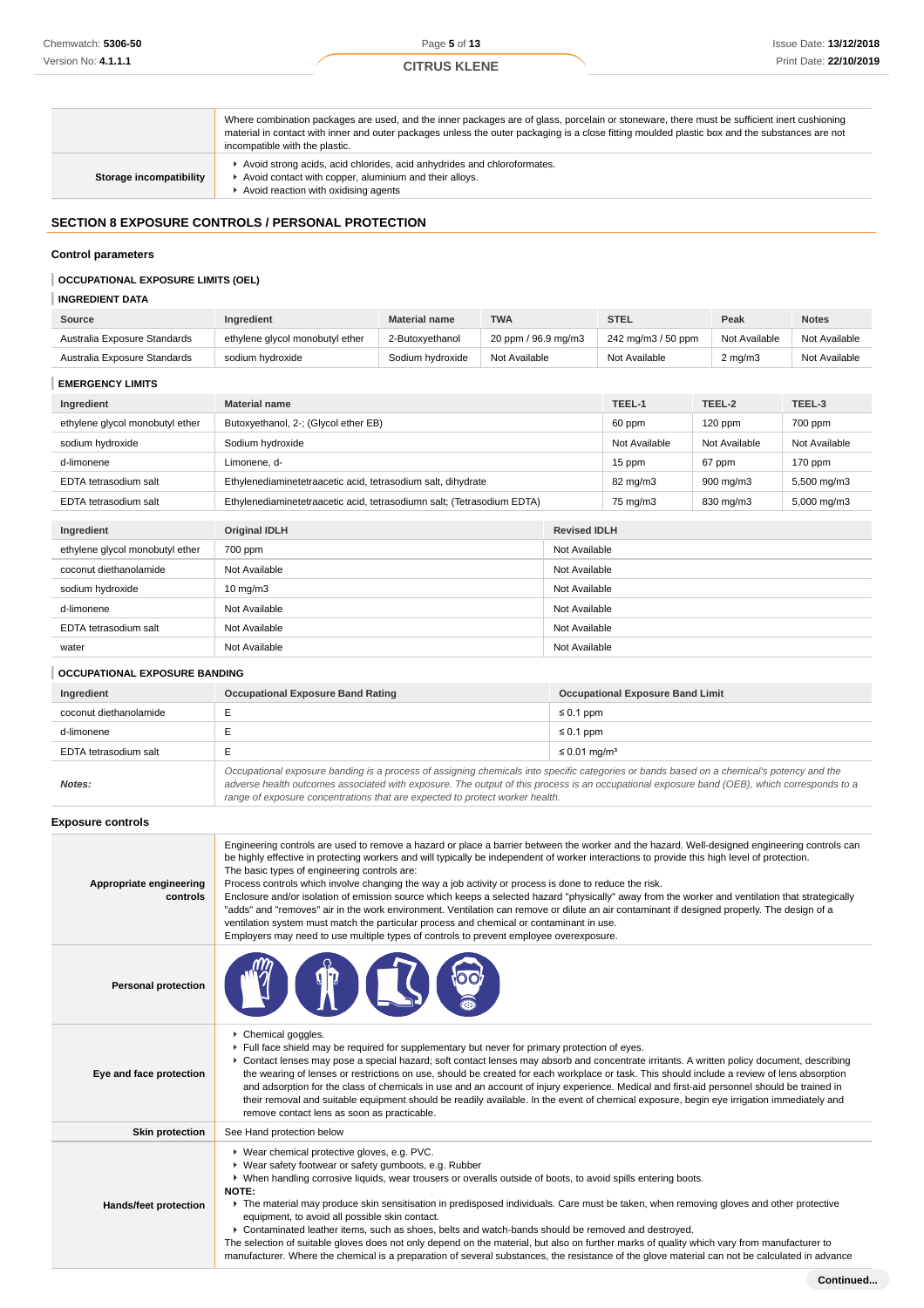|                         | Where combination packages are used, and the inner packages are of glass, porcelain or stoneware, there must be sufficient inert cushioning<br>material in contact with inner and outer packages unless the outer packaging is a close fitting moulded plastic box and the substances are not<br>incompatible with the plastic. |
|-------------------------|---------------------------------------------------------------------------------------------------------------------------------------------------------------------------------------------------------------------------------------------------------------------------------------------------------------------------------|
| Storage incompatibility | Avoid strong acids, acid chlorides, acid anhydrides and chloroformates.<br>Avoid contact with copper, aluminium and their alloys.<br>Avoid reaction with oxidising agents                                                                                                                                                       |

# **SECTION 8 EXPOSURE CONTROLS / PERSONAL PROTECTION**

### **Control parameters**

# **OCCUPATIONAL EXPOSURE LIMITS (OEL)**

# **INGREDIENT DATA**

| Source                       | <b>Ingredient</b>               | <b>Material name</b> | <b>TWA</b>          | STEL               | Peak               | <b>Notes</b>  |
|------------------------------|---------------------------------|----------------------|---------------------|--------------------|--------------------|---------------|
| Australia Exposure Standards | ethylene glycol monobutyl ether | 2-Butoxvethanol      | 20 ppm / 96.9 mg/m3 | 242 mg/m3 / 50 ppm | Not Available      | Not Available |
| Australia Exposure Standards | sodium hvdroxide                | Sodium hydroxide     | Not Available       | Not Available      | $2 \text{ mg/m}$ 3 | Not Available |

### **EMERGENCY LIMITS**

| Ingredient                      | <b>Material name</b>                                                   |                     | TEEL-1        | TEEL-2        | TEEL-3        |
|---------------------------------|------------------------------------------------------------------------|---------------------|---------------|---------------|---------------|
| ethylene glycol monobutyl ether | Butoxyethanol, 2-; (Glycol ether EB)                                   |                     | 60 ppm        | $120$ ppm     | 700 ppm       |
| sodium hydroxide                | Sodium hydroxide                                                       |                     | Not Available | Not Available | Not Available |
| d-limonene                      | Limonene. d-                                                           |                     | 15 ppm        | 67 ppm        | 170 ppm       |
| EDTA tetrasodium salt           | Ethylenediaminetetraacetic acid, tetrasodium salt, dihydrate           |                     | 82 mg/m3      | 900 mg/m3     | 5,500 mg/m3   |
| EDTA tetrasodium salt           | Ethylenediaminetetraacetic acid, tetrasodiumn salt; (Tetrasodium EDTA) |                     | 75 mg/m3      | 830 mg/m3     | 5,000 mg/m3   |
|                                 |                                                                        |                     |               |               |               |
| Ingredient                      | <b>Original IDLH</b>                                                   | <b>Revised IDLH</b> |               |               |               |
| ethylene glycol monobutyl ether | 700 ppm                                                                | Not Available       |               |               |               |
| coconut diethanolamide          | Not Available<br>Not Available                                         |                     |               |               |               |
| sodium hydroxide                | Not Available<br>$10 \text{ mg/m}$                                     |                     |               |               |               |
| d-limonene                      | Not Available<br>Not Available                                         |                     |               |               |               |

## **OCCUPATIONAL EXPOSURE BANDING**

| Ingredient             | <b>Occupational Exposure Band Rating</b>                                                                                                                                                                                                                                                 | <b>Occupational Exposure Band Limit</b> |  |
|------------------------|------------------------------------------------------------------------------------------------------------------------------------------------------------------------------------------------------------------------------------------------------------------------------------------|-----------------------------------------|--|
| coconut diethanolamide |                                                                                                                                                                                                                                                                                          | $\leq 0.1$ ppm                          |  |
| d-limonene             |                                                                                                                                                                                                                                                                                          | $\leq 0.1$ ppm                          |  |
| EDTA tetrasodium salt  |                                                                                                                                                                                                                                                                                          | $\leq 0.01$ mg/m <sup>3</sup>           |  |
| Notes:                 | Occupational exposure banding is a process of assigning chemicals into specific categories or bands based on a chemical's potency and the<br>adverse health outcomes associated with exposure. The output of this process is an occupational exposure band (OEB), which corresponds to a |                                         |  |

EDTA tetrasodium salt Not Available Not Available water **Not Available** Not Available **Not Available** Not Available

> adverse health outcomes associated with exposure. The output of this process is an occupational exposure band (OEB), which corresponds to a range of exposure concentrations that are expected to protect worker health.

### **Exposure controls**

| Appropriate engineering<br>controls | Engineering controls are used to remove a hazard or place a barrier between the worker and the hazard. Well-designed engineering controls can<br>be highly effective in protecting workers and will typically be independent of worker interactions to provide this high level of protection.<br>The basic types of engineering controls are:<br>Process controls which involve changing the way a job activity or process is done to reduce the risk.<br>Enclosure and/or isolation of emission source which keeps a selected hazard "physically" away from the worker and ventilation that strategically<br>"adds" and "removes" air in the work environment. Ventilation can remove or dilute an air contaminant if designed properly. The design of a<br>ventilation system must match the particular process and chemical or contaminant in use.<br>Employers may need to use multiple types of controls to prevent employee overexposure. |
|-------------------------------------|-------------------------------------------------------------------------------------------------------------------------------------------------------------------------------------------------------------------------------------------------------------------------------------------------------------------------------------------------------------------------------------------------------------------------------------------------------------------------------------------------------------------------------------------------------------------------------------------------------------------------------------------------------------------------------------------------------------------------------------------------------------------------------------------------------------------------------------------------------------------------------------------------------------------------------------------------|
| <b>Personal protection</b>          |                                                                                                                                                                                                                                                                                                                                                                                                                                                                                                                                                                                                                                                                                                                                                                                                                                                                                                                                                 |
| Eye and face protection             | Chemical goggles.<br>Full face shield may be required for supplementary but never for primary protection of eyes.<br>► Contact lenses may pose a special hazard; soft contact lenses may absorb and concentrate irritants. A written policy document, describing<br>the wearing of lenses or restrictions on use, should be created for each workplace or task. This should include a review of lens absorption<br>and adsorption for the class of chemicals in use and an account of injury experience. Medical and first-aid personnel should be trained in<br>their removal and suitable equipment should be readily available. In the event of chemical exposure, begin eye irrigation immediately and<br>remove contact lens as soon as practicable.                                                                                                                                                                                       |
| <b>Skin protection</b>              | See Hand protection below                                                                                                                                                                                                                                                                                                                                                                                                                                                                                                                                                                                                                                                                                                                                                                                                                                                                                                                       |
| Hands/feet protection               | ▶ Wear chemical protective gloves, e.g. PVC.<br>▶ Wear safety footwear or safety gumboots, e.g. Rubber<br>▶ When handling corrosive liquids, wear trousers or overalls outside of boots, to avoid spills entering boots.<br>NOTE:<br>• The material may produce skin sensitisation in predisposed individuals. Care must be taken, when removing gloves and other protective<br>equipment, to avoid all possible skin contact.<br>▶ Contaminated leather items, such as shoes, belts and watch-bands should be removed and destroyed.<br>The selection of suitable gloves does not only depend on the material, but also on further marks of quality which vary from manufacturer to<br>manufacturer. Where the chemical is a preparation of several substances, the resistance of the glove material can not be calculated in advance                                                                                                          |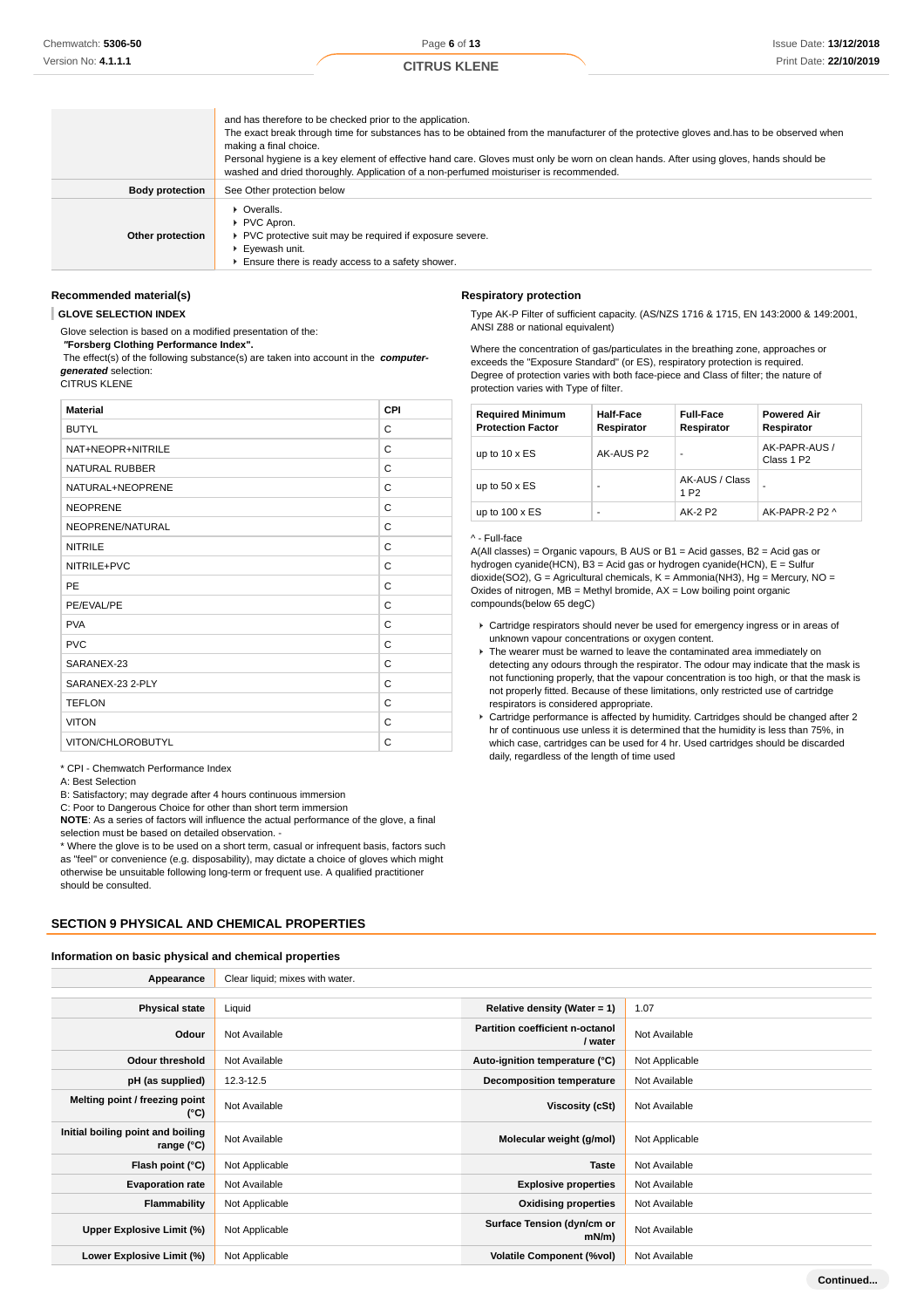|                        | and has therefore to be checked prior to the application.<br>The exact break through time for substances has to be obtained from the manufacturer of the protective gloves and has to be observed when<br>making a final choice.<br>Personal hygiene is a key element of effective hand care. Gloves must only be worn on clean hands. After using gloves, hands should be<br>washed and dried thoroughly. Application of a non-perfumed moisturiser is recommended. |
|------------------------|----------------------------------------------------------------------------------------------------------------------------------------------------------------------------------------------------------------------------------------------------------------------------------------------------------------------------------------------------------------------------------------------------------------------------------------------------------------------|
| <b>Body protection</b> | See Other protection below                                                                                                                                                                                                                                                                                                                                                                                                                                           |
| Other protection       | • Overalls.<br>▶ PVC Apron.<br>PVC protective suit may be required if exposure severe.<br>Eyewash unit.<br>Ensure there is ready access to a safety shower.                                                                                                                                                                                                                                                                                                          |

### **Recommended material(s)**

**GLOVE SELECTION INDEX**

Glove selection is based on a modified presentation of the:

#### **"Forsberg Clothing Performance Index".**

 The effect(s) of the following substance(s) are taken into account in the **computergenerated** selection:

CITRUS KLENE

| <b>Material</b>       | CPI |
|-----------------------|-----|
| <b>BUTYL</b>          | С   |
| NAT+NEOPR+NITRILE     | C   |
| <b>NATURAL RUBBER</b> | C   |
| NATURAL+NEOPRENE      | C   |
| <b>NEOPRENE</b>       | C   |
| NEOPRENE/NATURAL      | C   |
| <b>NITRILE</b>        | C   |
| NITRILE+PVC           | C   |
| PE                    | C   |
| PE/EVAL/PE            | C   |
| <b>PVA</b>            | C   |
| <b>PVC</b>            | C   |
| SARANEX-23            | C   |
| SARANEX-23 2-PLY      | C   |
| <b>TEFLON</b>         | C   |
| <b>VITON</b>          | C   |
| VITON/CHLOROBUTYL     | C   |

\* CPI - Chemwatch Performance Index

#### A: Best Selection

B: Satisfactory; may degrade after 4 hours continuous immersion

C: Poor to Dangerous Choice for other than short term immersion

**NOTE**: As a series of factors will influence the actual performance of the glove, a final selection must be based on detailed observation. -

\* Where the glove is to be used on a short term, casual or infrequent basis, factors such as "feel" or convenience (e.g. disposability), may dictate a choice of gloves which might otherwise be unsuitable following long-term or frequent use. A qualified practitioner should be consulted.

### **SECTION 9 PHYSICAL AND CHEMICAL PROPERTIES**

#### **Information on basic physical and chemical properties**

# **Respiratory protection**

Type AK-P Filter of sufficient capacity. (AS/NZS 1716 & 1715, EN 143:2000 & 149:2001, ANSI Z88 or national equivalent)

Where the concentration of gas/particulates in the breathing zone, approaches or exceeds the "Exposure Standard" (or ES), respiratory protection is required. Degree of protection varies with both face-piece and Class of filter; the nature of protection varies with Type of filter.

| <b>Required Minimum</b><br><b>Protection Factor</b> | <b>Half-Face</b><br>Respirator | <b>Full-Face</b><br>Respirator     | <b>Powered Air</b><br>Respirator        |
|-----------------------------------------------------|--------------------------------|------------------------------------|-----------------------------------------|
| up to $10 \times ES$                                | AK-AUS P2                      |                                    | AK-PAPR-AUS /<br>Class 1 P <sub>2</sub> |
| up to $50 \times ES$                                |                                | AK-AUS / Class<br>1 P <sub>2</sub> |                                         |
| up to $100 \times ES$                               | ٠                              | AK-2 P2                            | AK-PAPR-2 P2 ^                          |

#### ^ - Full-face

A(All classes) = Organic vapours, B AUS or B1 = Acid gasses, B2 = Acid gas or hydrogen cyanide(HCN), B3 = Acid gas or hydrogen cyanide(HCN), E = Sulfur dioxide(SO2), G = Agricultural chemicals, K = Ammonia(NH3), Hg = Mercury, NO = Oxides of nitrogen,  $MB =$  Methyl bromide,  $AX =$  Low boiling point organic compounds(below 65 degC)

- Cartridge respirators should never be used for emergency ingress or in areas of unknown vapour concentrations or oxygen content.
- $\blacktriangleright$  The wearer must be warned to leave the contaminated area immediately on detecting any odours through the respirator. The odour may indicate that the mask is not functioning properly, that the vapour concentration is too high, or that the mask is not properly fitted. Because of these limitations, only restricted use of cartridge respirators is considered appropriate.
- Cartridge performance is affected by humidity. Cartridges should be changed after 2 hr of continuous use unless it is determined that the humidity is less than 75%, in which case, cartridges can be used for 4 hr. Used cartridges should be discarded daily, regardless of the length of time used

| Appearance                                      | Clear liquid; mixes with water. |                                            |                |
|-------------------------------------------------|---------------------------------|--------------------------------------------|----------------|
|                                                 |                                 |                                            |                |
| <b>Physical state</b>                           | Liquid                          | Relative density (Water = $1$ )            | 1.07           |
| Odour                                           | Not Available                   | Partition coefficient n-octanol<br>/ water | Not Available  |
| <b>Odour threshold</b>                          | Not Available                   | Auto-ignition temperature (°C)             | Not Applicable |
| pH (as supplied)                                | 12.3-12.5                       | <b>Decomposition temperature</b>           | Not Available  |
| Melting point / freezing point<br>(°C)          | Not Available                   | <b>Viscosity (cSt)</b>                     | Not Available  |
| Initial boiling point and boiling<br>range (°C) | Not Available                   | Molecular weight (g/mol)                   | Not Applicable |
| Flash point (°C)                                | Not Applicable                  | <b>Taste</b>                               | Not Available  |
| <b>Evaporation rate</b>                         | Not Available                   | <b>Explosive properties</b>                | Not Available  |
| Flammability                                    | Not Applicable                  | <b>Oxidising properties</b>                | Not Available  |
| Upper Explosive Limit (%)                       | Not Applicable                  | Surface Tension (dyn/cm or<br>$mN/m$ )     | Not Available  |
| Lower Explosive Limit (%)                       | Not Applicable                  | <b>Volatile Component (%vol)</b>           | Not Available  |
|                                                 |                                 |                                            | Continued      |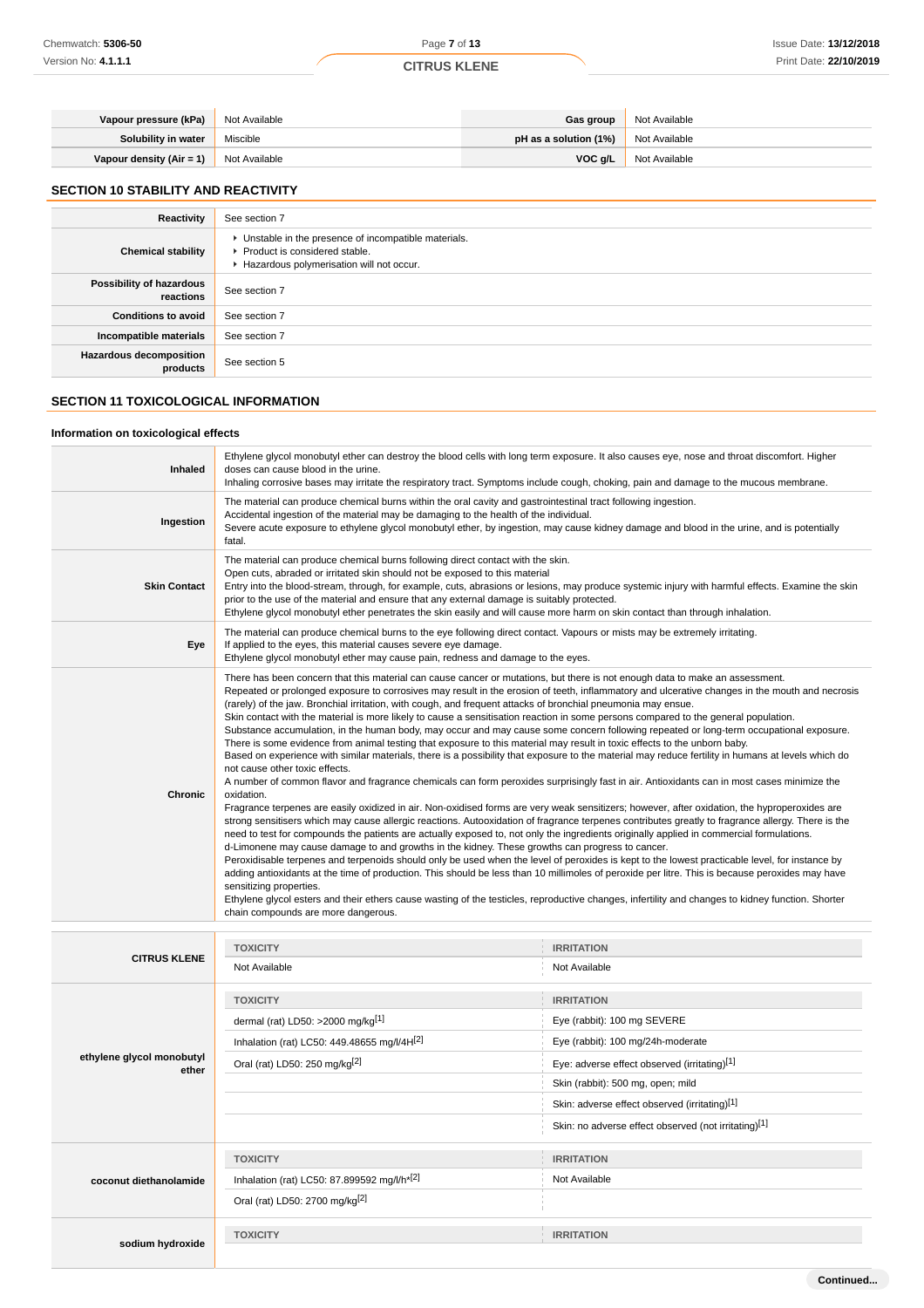| Vapour pressure (kPa)    | Not Available | <b>Gas group</b>        | Not Available |
|--------------------------|---------------|-------------------------|---------------|
| Solubility in water      | Miscible      | pH as a solution $(1%)$ | Not Available |
| Vapour density (Air = 1) | Not Available | VOC q/L                 | Not Available |

# **SECTION 10 STABILITY AND REACTIVITY**

| Reactivity                                 | See section 7                                                                                                                        |
|--------------------------------------------|--------------------------------------------------------------------------------------------------------------------------------------|
| <b>Chemical stability</b>                  | • Unstable in the presence of incompatible materials.<br>▶ Product is considered stable.<br>Hazardous polymerisation will not occur. |
| Possibility of hazardous<br>reactions      | See section 7                                                                                                                        |
| <b>Conditions to avoid</b>                 | See section 7                                                                                                                        |
| Incompatible materials                     | See section 7                                                                                                                        |
| <b>Hazardous decomposition</b><br>products | See section 5                                                                                                                        |

# **SECTION 11 TOXICOLOGICAL INFORMATION**

# **Information on toxicological effects**

| <b>Inhaled</b>      | Ethylene glycol monobutyl ether can destroy the blood cells with long term exposure. It also causes eye, nose and throat discomfort. Higher<br>doses can cause blood in the urine.<br>Inhaling corrosive bases may irritate the respiratory tract. Symptoms include cough, choking, pain and damage to the mucous membrane.                                                                                                                                                                                                                                                                                                                                                                                                                                                                                                                                                                                                                                                                                                                                                                                                                                                                                                                                                                                                                                                                                                                                                                                                                                                                                                                                                                                                                                                                                                                                                                                                                                                                                                                                                                                                                                                                                                                        |
|---------------------|----------------------------------------------------------------------------------------------------------------------------------------------------------------------------------------------------------------------------------------------------------------------------------------------------------------------------------------------------------------------------------------------------------------------------------------------------------------------------------------------------------------------------------------------------------------------------------------------------------------------------------------------------------------------------------------------------------------------------------------------------------------------------------------------------------------------------------------------------------------------------------------------------------------------------------------------------------------------------------------------------------------------------------------------------------------------------------------------------------------------------------------------------------------------------------------------------------------------------------------------------------------------------------------------------------------------------------------------------------------------------------------------------------------------------------------------------------------------------------------------------------------------------------------------------------------------------------------------------------------------------------------------------------------------------------------------------------------------------------------------------------------------------------------------------------------------------------------------------------------------------------------------------------------------------------------------------------------------------------------------------------------------------------------------------------------------------------------------------------------------------------------------------------------------------------------------------------------------------------------------------|
| Ingestion           | The material can produce chemical burns within the oral cavity and gastrointestinal tract following ingestion.<br>Accidental ingestion of the material may be damaging to the health of the individual.<br>Severe acute exposure to ethylene glycol monobutyl ether, by ingestion, may cause kidney damage and blood in the urine, and is potentially<br>fatal.                                                                                                                                                                                                                                                                                                                                                                                                                                                                                                                                                                                                                                                                                                                                                                                                                                                                                                                                                                                                                                                                                                                                                                                                                                                                                                                                                                                                                                                                                                                                                                                                                                                                                                                                                                                                                                                                                    |
| <b>Skin Contact</b> | The material can produce chemical burns following direct contact with the skin.<br>Open cuts, abraded or irritated skin should not be exposed to this material<br>Entry into the blood-stream, through, for example, cuts, abrasions or lesions, may produce systemic injury with harmful effects. Examine the skin<br>prior to the use of the material and ensure that any external damage is suitably protected.<br>Ethylene glycol monobutyl ether penetrates the skin easily and will cause more harm on skin contact than through inhalation.                                                                                                                                                                                                                                                                                                                                                                                                                                                                                                                                                                                                                                                                                                                                                                                                                                                                                                                                                                                                                                                                                                                                                                                                                                                                                                                                                                                                                                                                                                                                                                                                                                                                                                 |
| Eye                 | The material can produce chemical burns to the eye following direct contact. Vapours or mists may be extremely irritating.<br>If applied to the eyes, this material causes severe eye damage.<br>Ethylene glycol monobutyl ether may cause pain, redness and damage to the eyes.                                                                                                                                                                                                                                                                                                                                                                                                                                                                                                                                                                                                                                                                                                                                                                                                                                                                                                                                                                                                                                                                                                                                                                                                                                                                                                                                                                                                                                                                                                                                                                                                                                                                                                                                                                                                                                                                                                                                                                   |
| <b>Chronic</b>      | There has been concern that this material can cause cancer or mutations, but there is not enough data to make an assessment.<br>Repeated or prolonged exposure to corrosives may result in the erosion of teeth, inflammatory and ulcerative changes in the mouth and necrosis<br>(rarely) of the jaw. Bronchial irritation, with cough, and frequent attacks of bronchial pneumonia may ensue.<br>Skin contact with the material is more likely to cause a sensitisation reaction in some persons compared to the general population.<br>Substance accumulation, in the human body, may occur and may cause some concern following repeated or long-term occupational exposure.<br>There is some evidence from animal testing that exposure to this material may result in toxic effects to the unborn baby.<br>Based on experience with similar materials, there is a possibility that exposure to the material may reduce fertility in humans at levels which do<br>not cause other toxic effects.<br>A number of common flavor and fragrance chemicals can form peroxides surprisingly fast in air. Antioxidants can in most cases minimize the<br>oxidation.<br>Fragrance terpenes are easily oxidized in air. Non-oxidised forms are very weak sensitizers; however, after oxidation, the hyproperoxides are<br>strong sensitisers which may cause allergic reactions. Autooxidation of fragrance terpenes contributes greatly to fragrance allergy. There is the<br>need to test for compounds the patients are actually exposed to, not only the ingredients originally applied in commercial formulations.<br>d-Limonene may cause damage to and growths in the kidney. These growths can progress to cancer.<br>Peroxidisable terpenes and terpenoids should only be used when the level of peroxides is kept to the lowest practicable level, for instance by<br>adding antioxidants at the time of production. This should be less than 10 millimoles of peroxide per litre. This is because peroxides may have<br>sensitizing properties.<br>Ethylene glycol esters and their ethers cause wasting of the testicles, reproductive changes, infertility and changes to kidney function. Shorter<br>chain compounds are more dangerous. |
|                     |                                                                                                                                                                                                                                                                                                                                                                                                                                                                                                                                                                                                                                                                                                                                                                                                                                                                                                                                                                                                                                                                                                                                                                                                                                                                                                                                                                                                                                                                                                                                                                                                                                                                                                                                                                                                                                                                                                                                                                                                                                                                                                                                                                                                                                                    |

| <b>CITRUS KLENE</b>                | <b>TOXICITY</b>                                         | <b>IRRITATION</b>                                    |
|------------------------------------|---------------------------------------------------------|------------------------------------------------------|
|                                    | Not Available                                           | Not Available                                        |
|                                    | <b>TOXICITY</b>                                         | <b>IRRITATION</b>                                    |
|                                    | dermal (rat) LD50: >2000 mg/kg[1]                       | Eye (rabbit): 100 mg SEVERE                          |
|                                    | Inhalation (rat) LC50: 449.48655 mg/l/4H[2]             | Eye (rabbit): 100 mg/24h-moderate                    |
| ethylene glycol monobutyl<br>ether | Oral (rat) LD50: 250 mg/kg <sup>[2]</sup>               | Eye: adverse effect observed (irritating)[1]         |
|                                    |                                                         | Skin (rabbit): 500 mg, open; mild                    |
|                                    |                                                         | Skin: adverse effect observed (irritating)[1]        |
|                                    |                                                         | Skin: no adverse effect observed (not irritating)[1] |
|                                    | <b>TOXICITY</b>                                         | <b>IRRITATION</b>                                    |
| coconut diethanolamide             | Inhalation (rat) LC50: 87.899592 mg/l/h <sup>*[2]</sup> | Not Available                                        |
|                                    | Oral (rat) LD50: 2700 mg/kg <sup>[2]</sup>              |                                                      |
| sodium hydroxide                   | <b>TOXICITY</b>                                         | <b>IRRITATION</b>                                    |
|                                    |                                                         |                                                      |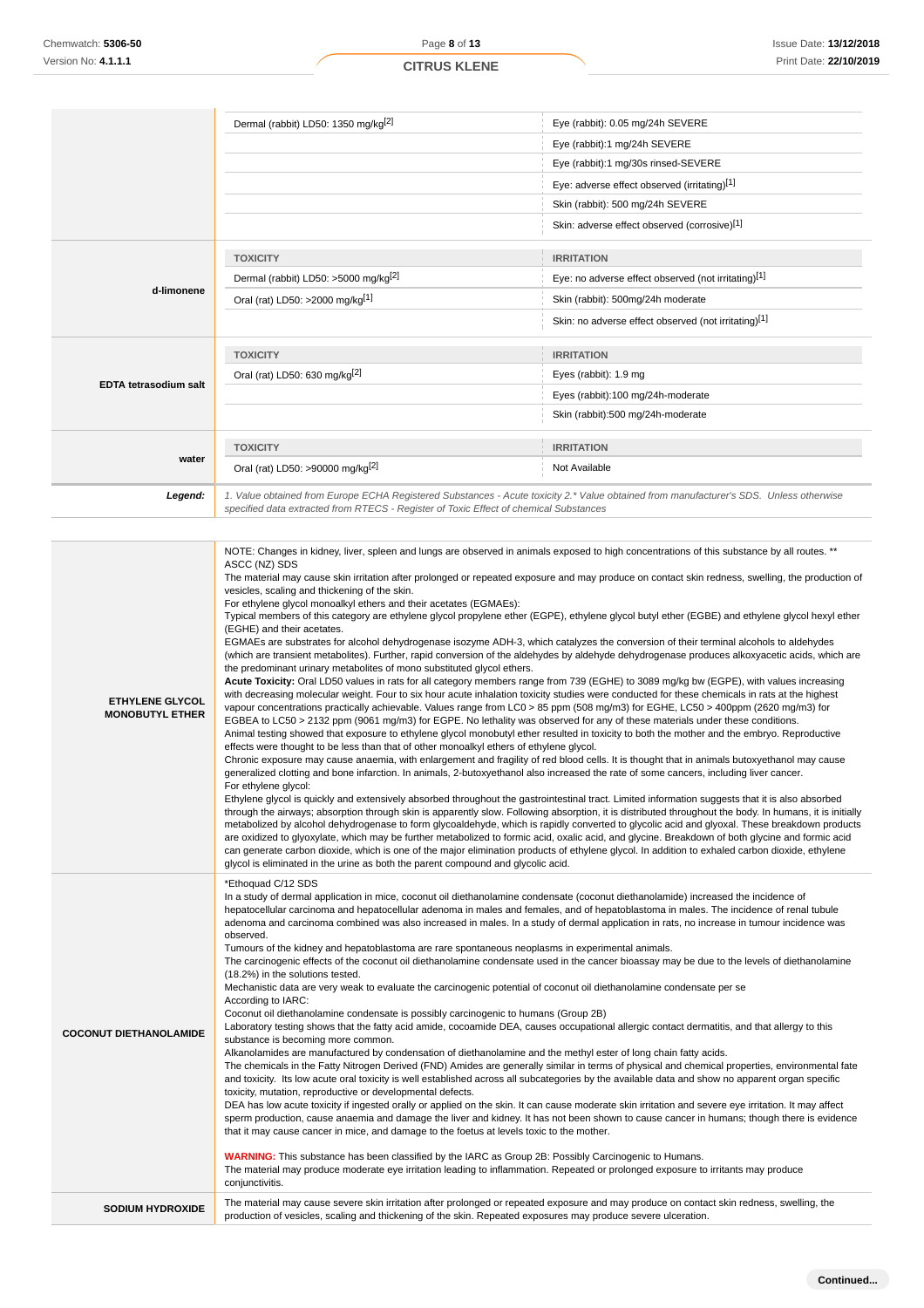|                                                  | Dermal (rabbit) LD50: 1350 mg/kg <sup>[2]</sup>                                                                                                                                                                                             | Eye (rabbit): 0.05 mg/24h SEVERE                                                                                                                                                                                                                                                                                                                                                                                                                                                                                                                                                                                                                                                                                                                                                                                                                                                                                                                                                                                                           |
|--------------------------------------------------|---------------------------------------------------------------------------------------------------------------------------------------------------------------------------------------------------------------------------------------------|--------------------------------------------------------------------------------------------------------------------------------------------------------------------------------------------------------------------------------------------------------------------------------------------------------------------------------------------------------------------------------------------------------------------------------------------------------------------------------------------------------------------------------------------------------------------------------------------------------------------------------------------------------------------------------------------------------------------------------------------------------------------------------------------------------------------------------------------------------------------------------------------------------------------------------------------------------------------------------------------------------------------------------------------|
|                                                  |                                                                                                                                                                                                                                             | Eye (rabbit):1 mg/24h SEVERE                                                                                                                                                                                                                                                                                                                                                                                                                                                                                                                                                                                                                                                                                                                                                                                                                                                                                                                                                                                                               |
|                                                  |                                                                                                                                                                                                                                             | Eye (rabbit):1 mg/30s rinsed-SEVERE                                                                                                                                                                                                                                                                                                                                                                                                                                                                                                                                                                                                                                                                                                                                                                                                                                                                                                                                                                                                        |
|                                                  |                                                                                                                                                                                                                                             | Eye: adverse effect observed (irritating)[1]                                                                                                                                                                                                                                                                                                                                                                                                                                                                                                                                                                                                                                                                                                                                                                                                                                                                                                                                                                                               |
|                                                  |                                                                                                                                                                                                                                             | Skin (rabbit): 500 mg/24h SEVERE                                                                                                                                                                                                                                                                                                                                                                                                                                                                                                                                                                                                                                                                                                                                                                                                                                                                                                                                                                                                           |
|                                                  |                                                                                                                                                                                                                                             | Skin: adverse effect observed (corrosive)[1]                                                                                                                                                                                                                                                                                                                                                                                                                                                                                                                                                                                                                                                                                                                                                                                                                                                                                                                                                                                               |
|                                                  | <b>TOXICITY</b>                                                                                                                                                                                                                             | <b>IRRITATION</b>                                                                                                                                                                                                                                                                                                                                                                                                                                                                                                                                                                                                                                                                                                                                                                                                                                                                                                                                                                                                                          |
|                                                  | Dermal (rabbit) LD50: >5000 mg/kg <sup>[2]</sup>                                                                                                                                                                                            | Eye: no adverse effect observed (not irritating)[1]                                                                                                                                                                                                                                                                                                                                                                                                                                                                                                                                                                                                                                                                                                                                                                                                                                                                                                                                                                                        |
| d-limonene                                       | Oral (rat) LD50: >2000 mg/kg[1]                                                                                                                                                                                                             | Skin (rabbit): 500mg/24h moderate                                                                                                                                                                                                                                                                                                                                                                                                                                                                                                                                                                                                                                                                                                                                                                                                                                                                                                                                                                                                          |
|                                                  |                                                                                                                                                                                                                                             | Skin: no adverse effect observed (not irritating)[1]                                                                                                                                                                                                                                                                                                                                                                                                                                                                                                                                                                                                                                                                                                                                                                                                                                                                                                                                                                                       |
|                                                  | <b>TOXICITY</b>                                                                                                                                                                                                                             | <b>IRRITATION</b>                                                                                                                                                                                                                                                                                                                                                                                                                                                                                                                                                                                                                                                                                                                                                                                                                                                                                                                                                                                                                          |
|                                                  | Oral (rat) LD50: 630 mg/kg <sup>[2]</sup>                                                                                                                                                                                                   | Eyes (rabbit): 1.9 mg                                                                                                                                                                                                                                                                                                                                                                                                                                                                                                                                                                                                                                                                                                                                                                                                                                                                                                                                                                                                                      |
| EDTA tetrasodium salt                            |                                                                                                                                                                                                                                             | Eyes (rabbit):100 mg/24h-moderate                                                                                                                                                                                                                                                                                                                                                                                                                                                                                                                                                                                                                                                                                                                                                                                                                                                                                                                                                                                                          |
|                                                  |                                                                                                                                                                                                                                             | Skin (rabbit):500 mg/24h-moderate                                                                                                                                                                                                                                                                                                                                                                                                                                                                                                                                                                                                                                                                                                                                                                                                                                                                                                                                                                                                          |
|                                                  | <b>TOXICITY</b>                                                                                                                                                                                                                             | <b>IRRITATION</b>                                                                                                                                                                                                                                                                                                                                                                                                                                                                                                                                                                                                                                                                                                                                                                                                                                                                                                                                                                                                                          |
| water                                            | Oral (rat) LD50: >90000 mg/kg <sup>[2]</sup>                                                                                                                                                                                                | Not Available                                                                                                                                                                                                                                                                                                                                                                                                                                                                                                                                                                                                                                                                                                                                                                                                                                                                                                                                                                                                                              |
| Legend:                                          | specified data extracted from RTECS - Register of Toxic Effect of chemical Substances                                                                                                                                                       | 1. Value obtained from Europe ECHA Registered Substances - Acute toxicity 2.* Value obtained from manufacturer's SDS. Unless otherwise                                                                                                                                                                                                                                                                                                                                                                                                                                                                                                                                                                                                                                                                                                                                                                                                                                                                                                     |
|                                                  | ASCC (NZ) SDS<br>vesicles, scaling and thickening of the skin.<br>For ethylene glycol monoalkyl ethers and their acetates (EGMAEs):<br>(EGHE) and their acetates.<br>the predominant urinary metabolites of mono substituted glycol ethers. | NOTE: Changes in kidney, liver, spleen and lungs are observed in animals exposed to high concentrations of this substance by all routes. **<br>The material may cause skin irritation after prolonged or repeated exposure and may produce on contact skin redness, swelling, the production of<br>Typical members of this category are ethylene glycol propylene ether (EGPE), ethylene glycol butyl ether (EGBE) and ethylene glycol hexyl ether<br>EGMAEs are substrates for alcohol dehydrogenase isozyme ADH-3, which catalyzes the conversion of their terminal alcohols to aldehydes<br>(which are transient metabolites). Further, rapid conversion of the aldehydes by aldehyde dehydrogenase produces alkoxyacetic acids, which are<br>Acute Toxicity: Oral LD50 values in rats for all category members range from 739 (EGHE) to 3089 mg/kg bw (EGPE), with values increasing<br>with decreasing molecular weight. Four to six hour acute inhalation toxicity studies were conducted for these chemicals in rats at the highest |
| <b>ETHYLENE GLYCOL</b><br><b>MONOBUTYL ETHER</b> |                                                                                                                                                                                                                                             | vapour concentrations practically achievable. Values range from LC0 > 85 ppm (508 mg/m3) for EGHE, LC50 > 400ppm (2620 mg/m3) for<br>EGBEA to LC50 > 2132 ppm (9061 mg/m3) for EGPE. No lethality was observed for any of these materials under these conditions.                                                                                                                                                                                                                                                                                                                                                                                                                                                                                                                                                                                                                                                                                                                                                                          |

Animal testing showed that exposure to ethylene glycol monobutyl ether resulted in toxicity to both the mother and the embryo. Reproductive effects were thought to be less than that of other monoalkyl ethers of ethylene glycol.

Chronic exposure may cause anaemia, with enlargement and fragility of red blood cells. It is thought that in animals butoxyethanol may cause generalized clotting and bone infarction. In animals, 2-butoxyethanol also increased the rate of some cancers, including liver cancer. For ethylene glycol:

Ethylene glycol is quickly and extensively absorbed throughout the gastrointestinal tract. Limited information suggests that it is also absorbed through the airways; absorption through skin is apparently slow. Following absorption, it is distributed throughout the body. In humans, it is initially metabolized by alcohol dehydrogenase to form glycoaldehyde, which is rapidly converted to glycolic acid and glyoxal. These breakdown products are oxidized to glyoxylate, which may be further metabolized to formic acid, oxalic acid, and glycine. Breakdown of both glycine and formic acid can generate carbon dioxide, which is one of the major elimination products of ethylene glycol. In addition to exhaled carbon dioxide, ethylene glycol is eliminated in the urine as both the parent compound and glycolic acid.

\*Ethoquad C/12 SDS

In a study of dermal application in mice, coconut oil diethanolamine condensate (coconut diethanolamide) increased the incidence of hepatocellular carcinoma and hepatocellular adenoma in males and females, and of hepatoblastoma in males. The incidence of renal tubule adenoma and carcinoma combined was also increased in males. In a study of dermal application in rats, no increase in tumour incidence was observed.

Tumours of the kidney and hepatoblastoma are rare spontaneous neoplasms in experimental animals.

The carcinogenic effects of the coconut oil diethanolamine condensate used in the cancer bioassay may be due to the levels of diethanolamine (18.2%) in the solutions tested.

Mechanistic data are very weak to evaluate the carcinogenic potential of coconut oil diethanolamine condensate per se

According to IARC: Coconut oil diethanolamine condensate is possibly carcinogenic to humans (Group 2B)

**COCONUT DIETHANOLAMIDE** Laboratory testing shows that the fatty acid amide, cocoamide DEA, causes occupational allergic contact dermatitis, and that allergy to this substance is becoming more common.

Alkanolamides are manufactured by condensation of diethanolamine and the methyl ester of long chain fatty acids.

The chemicals in the Fatty Nitrogen Derived (FND) Amides are generally similar in terms of physical and chemical properties, environmental fate and toxicity. Its low acute oral toxicity is well established across all subcategories by the available data and show no apparent organ specific toxicity, mutation, reproductive or developmental defects.

DEA has low acute toxicity if ingested orally or applied on the skin. It can cause moderate skin irritation and severe eye irritation. It may affect sperm production, cause anaemia and damage the liver and kidney. It has not been shown to cause cancer in humans; though there is evidence that it may cause cancer in mice, and damage to the foetus at levels toxic to the mother.

**WARNING:** This substance has been classified by the IARC as Group 2B: Possibly Carcinogenic to Humans. The material may produce moderate eye irritation leading to inflammation. Repeated or prolonged exposure to irritants may produce conjunctivitis.

**SODIUM HYDROXIDE** The material may cause severe skin irritation after prolonged or repeated exposure and may produce on contact skin redness, swelling, the production of vesicles, scaling and thickening of the skin. Repeated exposures may produce severe ulceration.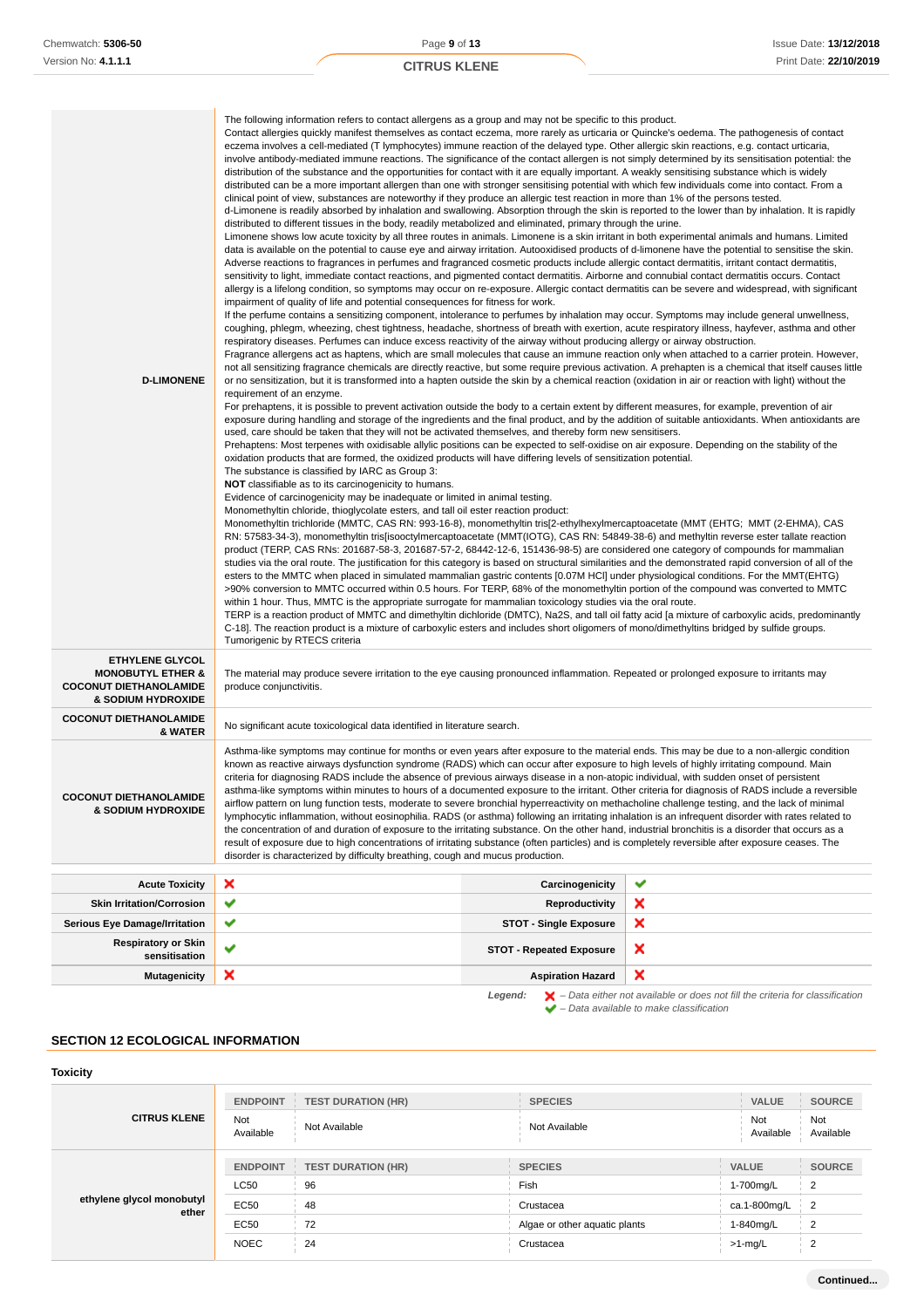| <b>D-LIMONENE</b>                                                                                             | Contact allergies quickly manifest themselves as contact eczema, more rarely as urticaria or Quincke's oedema. The pathogenesis of contact<br>eczema involves a cell-mediated (T lymphocytes) immune reaction of the delayed type. Other allergic skin reactions, e.g. contact urticaria,<br>involve antibody-mediated immune reactions. The significance of the contact allergen is not simply determined by its sensitisation potential: the<br>distribution of the substance and the opportunities for contact with it are equally important. A weakly sensitising substance which is widely<br>distributed can be a more important allergen than one with stronger sensitising potential with which few individuals come into contact. From a<br>clinical point of view, substances are noteworthy if they produce an allergic test reaction in more than 1% of the persons tested.<br>d-Limonene is readily absorbed by inhalation and swallowing. Absorption through the skin is reported to the lower than by inhalation. It is rapidly<br>distributed to different tissues in the body, readily metabolized and eliminated, primary through the urine.<br>Limonene shows low acute toxicity by all three routes in animals. Limonene is a skin irritant in both experimental animals and humans. Limited<br>data is available on the potential to cause eye and airway irritation. Autooxidised products of d-limonene have the potential to sensitise the skin.<br>Adverse reactions to fragrances in perfumes and fragranced cosmetic products include allergic contact dermatitis, irritant contact dermatitis,<br>sensitivity to light, immediate contact reactions, and pigmented contact dermatitis. Airborne and connubial contact dermatitis occurs. Contact<br>allergy is a lifelong condition, so symptoms may occur on re-exposure. Allergic contact dermatitis can be severe and widespread, with significant<br>impairment of quality of life and potential consequences for fitness for work.<br>If the perfume contains a sensitizing component, intolerance to perfumes by inhalation may occur. Symptoms may include general unwellness,<br>coughing, phlegm, wheezing, chest tightness, headache, shortness of breath with exertion, acute respiratory illness, hayfever, asthma and other<br>respiratory diseases. Perfumes can induce excess reactivity of the airway without producing allergy or airway obstruction.<br>Fragrance allergens act as haptens, which are small molecules that cause an immune reaction only when attached to a carrier protein. However,<br>not all sensitizing fragrance chemicals are directly reactive, but some require previous activation. A prehapten is a chemical that itself causes little<br>or no sensitization, but it is transformed into a hapten outside the skin by a chemical reaction (oxidation in air or reaction with light) without the<br>requirement of an enzyme.<br>For prehaptens, it is possible to prevent activation outside the body to a certain extent by different measures, for example, prevention of air<br>exposure during handling and storage of the ingredients and the final product, and by the addition of suitable antioxidants. When antioxidants are<br>used, care should be taken that they will not be activated themselves, and thereby form new sensitisers.<br>Prehaptens: Most terpenes with oxidisable allylic positions can be expected to self-oxidise on air exposure. Depending on the stability of the<br>oxidation products that are formed, the oxidized products will have differing levels of sensitization potential.<br>The substance is classified by IARC as Group 3:<br><b>NOT</b> classifiable as to its carcinogenicity to humans.<br>Evidence of carcinogenicity may be inadequate or limited in animal testing.<br>Monomethyltin chloride, thioglycolate esters, and tall oil ester reaction product:<br>Monomethyltin trichloride (MMTC, CAS RN: 993-16-8), monomethyltin tris[2-ethylhexylmercaptoacetate (MMT (EHTG; MMT (2-EHMA), CAS<br>RN: 57583-34-3), monomethyltin tris[isooctylmercaptoacetate (MMT(IOTG), CAS RN: 54849-38-6) and methyltin reverse ester tallate reaction<br>product (TERP, CAS RNs: 201687-58-3, 201687-57-2, 68442-12-6, 151436-98-5) are considered one category of compounds for mammalian<br>studies via the oral route. The justification for this category is based on structural similarities and the demonstrated rapid conversion of all of the<br>esters to the MMTC when placed in simulated mammalian gastric contents [0.07M HCI] under physiological conditions. For the MMT(EHTG)<br>>90% conversion to MMTC occurred within 0.5 hours. For TERP, 68% of the monomethyltin portion of the compound was converted to MMTC<br>within 1 hour. Thus, MMTC is the appropriate surrogate for mammalian toxicology studies via the oral route.<br>TERP is a reaction product of MMTC and dimethyltin dichloride (DMTC), Na2S, and tall oil fatty acid [a mixture of carboxylic acids, predominantly<br>C-18]. The reaction product is a mixture of carboxylic esters and includes short oligomers of mono/dimethyltins bridged by sulfide groups. |                                 |   |
|---------------------------------------------------------------------------------------------------------------|----------------------------------------------------------------------------------------------------------------------------------------------------------------------------------------------------------------------------------------------------------------------------------------------------------------------------------------------------------------------------------------------------------------------------------------------------------------------------------------------------------------------------------------------------------------------------------------------------------------------------------------------------------------------------------------------------------------------------------------------------------------------------------------------------------------------------------------------------------------------------------------------------------------------------------------------------------------------------------------------------------------------------------------------------------------------------------------------------------------------------------------------------------------------------------------------------------------------------------------------------------------------------------------------------------------------------------------------------------------------------------------------------------------------------------------------------------------------------------------------------------------------------------------------------------------------------------------------------------------------------------------------------------------------------------------------------------------------------------------------------------------------------------------------------------------------------------------------------------------------------------------------------------------------------------------------------------------------------------------------------------------------------------------------------------------------------------------------------------------------------------------------------------------------------------------------------------------------------------------------------------------------------------------------------------------------------------------------------------------------------------------------------------------------------------------------------------------------------------------------------------------------------------------------------------------------------------------------------------------------------------------------------------------------------------------------------------------------------------------------------------------------------------------------------------------------------------------------------------------------------------------------------------------------------------------------------------------------------------------------------------------------------------------------------------------------------------------------------------------------------------------------------------------------------------------------------------------------------------------------------------------------------------------------------------------------------------------------------------------------------------------------------------------------------------------------------------------------------------------------------------------------------------------------------------------------------------------------------------------------------------------------------------------------------------------------------------------------------------------------------------------------------------------------------------------------------------------------------------------------------------------------------------------------------------------------------------------------------------------------------------------------------------------------------------------------------------------------------------------------------------------------------------------------------------------------------------------------------------------------------------------------------------------------------------------------------------------------------------------------------------------------------------------------------------------------------------------------------------------------------------------------------------------------------------------------------------------------------------------------------------------------------------------------------------------------------------------------------------------------------------------------------------------------------------------------------------------------------------------------------------------------------------------------------------------------------------------------------------------------------------------------------------------------------------------------------------------------------------------------------------------------------------------------------------------------------------------------------|---------------------------------|---|
| <b>ETHYLENE GLYCOL</b><br><b>MONOBUTYL ETHER &amp;</b><br><b>COCONUT DIETHANOLAMIDE</b><br>& SODIUM HYDROXIDE | Tumorigenic by RTECS criteria<br>The material may produce severe irritation to the eye causing pronounced inflammation. Repeated or prolonged exposure to irritants may<br>produce conjunctivitis.                                                                                                                                                                                                                                                                                                                                                                                                                                                                                                                                                                                                                                                                                                                                                                                                                                                                                                                                                                                                                                                                                                                                                                                                                                                                                                                                                                                                                                                                                                                                                                                                                                                                                                                                                                                                                                                                                                                                                                                                                                                                                                                                                                                                                                                                                                                                                                                                                                                                                                                                                                                                                                                                                                                                                                                                                                                                                                                                                                                                                                                                                                                                                                                                                                                                                                                                                                                                                                                                                                                                                                                                                                                                                                                                                                                                                                                                                                                                                                                                                                                                                                                                                                                                                                                                                                                                                                                                                                                                                                                                                                                                                                                                                                                                                                                                                                                                                                                                                                                                                         |                                 |   |
| <b>COCONUT DIETHANOLAMIDE</b><br>& WATER                                                                      | No significant acute toxicological data identified in literature search.                                                                                                                                                                                                                                                                                                                                                                                                                                                                                                                                                                                                                                                                                                                                                                                                                                                                                                                                                                                                                                                                                                                                                                                                                                                                                                                                                                                                                                                                                                                                                                                                                                                                                                                                                                                                                                                                                                                                                                                                                                                                                                                                                                                                                                                                                                                                                                                                                                                                                                                                                                                                                                                                                                                                                                                                                                                                                                                                                                                                                                                                                                                                                                                                                                                                                                                                                                                                                                                                                                                                                                                                                                                                                                                                                                                                                                                                                                                                                                                                                                                                                                                                                                                                                                                                                                                                                                                                                                                                                                                                                                                                                                                                                                                                                                                                                                                                                                                                                                                                                                                                                                                                                   |                                 |   |
| <b>COCONUT DIETHANOLAMIDE</b><br>& SODIUM HYDROXIDE                                                           | Asthma-like symptoms may continue for months or even years after exposure to the material ends. This may be due to a non-allergic condition<br>known as reactive airways dysfunction syndrome (RADS) which can occur after exposure to high levels of highly irritating compound. Main<br>criteria for diagnosing RADS include the absence of previous airways disease in a non-atopic individual, with sudden onset of persistent<br>asthma-like symptoms within minutes to hours of a documented exposure to the irritant. Other criteria for diagnosis of RADS include a reversible<br>airflow pattern on lung function tests, moderate to severe bronchial hyperreactivity on methacholine challenge testing, and the lack of minimal<br>lymphocytic inflammation, without eosinophilia. RADS (or asthma) following an irritating inhalation is an infrequent disorder with rates related to<br>the concentration of and duration of exposure to the irritating substance. On the other hand, industrial bronchitis is a disorder that occurs as a<br>result of exposure due to high concentrations of irritating substance (often particles) and is completely reversible after exposure ceases. The<br>disorder is characterized by difficulty breathing, cough and mucus production.                                                                                                                                                                                                                                                                                                                                                                                                                                                                                                                                                                                                                                                                                                                                                                                                                                                                                                                                                                                                                                                                                                                                                                                                                                                                                                                                                                                                                                                                                                                                                                                                                                                                                                                                                                                                                                                                                                                                                                                                                                                                                                                                                                                                                                                                                                                                                                                                                                                                                                                                                                                                                                                                                                                                                                                                                                                                                                                                                                                                                                                                                                                                                                                                                                                                                                                                                                                                                                                                                                                                                                                                                                                                                                                                                                                                                                                                                                                                |                                 |   |
| <b>Acute Toxicity</b>                                                                                         | ×                                                                                                                                                                                                                                                                                                                                                                                                                                                                                                                                                                                                                                                                                                                                                                                                                                                                                                                                                                                                                                                                                                                                                                                                                                                                                                                                                                                                                                                                                                                                                                                                                                                                                                                                                                                                                                                                                                                                                                                                                                                                                                                                                                                                                                                                                                                                                                                                                                                                                                                                                                                                                                                                                                                                                                                                                                                                                                                                                                                                                                                                                                                                                                                                                                                                                                                                                                                                                                                                                                                                                                                                                                                                                                                                                                                                                                                                                                                                                                                                                                                                                                                                                                                                                                                                                                                                                                                                                                                                                                                                                                                                                                                                                                                                                                                                                                                                                                                                                                                                                                                                                                                                                                                                                          | Carcinogenicity                 | ✔ |
| <b>Skin Irritation/Corrosion</b>                                                                              | ✔                                                                                                                                                                                                                                                                                                                                                                                                                                                                                                                                                                                                                                                                                                                                                                                                                                                                                                                                                                                                                                                                                                                                                                                                                                                                                                                                                                                                                                                                                                                                                                                                                                                                                                                                                                                                                                                                                                                                                                                                                                                                                                                                                                                                                                                                                                                                                                                                                                                                                                                                                                                                                                                                                                                                                                                                                                                                                                                                                                                                                                                                                                                                                                                                                                                                                                                                                                                                                                                                                                                                                                                                                                                                                                                                                                                                                                                                                                                                                                                                                                                                                                                                                                                                                                                                                                                                                                                                                                                                                                                                                                                                                                                                                                                                                                                                                                                                                                                                                                                                                                                                                                                                                                                                                          | Reproductivity                  | × |
| <b>Serious Eye Damage/Irritation</b>                                                                          | ✔                                                                                                                                                                                                                                                                                                                                                                                                                                                                                                                                                                                                                                                                                                                                                                                                                                                                                                                                                                                                                                                                                                                                                                                                                                                                                                                                                                                                                                                                                                                                                                                                                                                                                                                                                                                                                                                                                                                                                                                                                                                                                                                                                                                                                                                                                                                                                                                                                                                                                                                                                                                                                                                                                                                                                                                                                                                                                                                                                                                                                                                                                                                                                                                                                                                                                                                                                                                                                                                                                                                                                                                                                                                                                                                                                                                                                                                                                                                                                                                                                                                                                                                                                                                                                                                                                                                                                                                                                                                                                                                                                                                                                                                                                                                                                                                                                                                                                                                                                                                                                                                                                                                                                                                                                          | <b>STOT - Single Exposure</b>   | × |
| <b>Respiratory or Skin</b><br>sensitisation                                                                   | ✔                                                                                                                                                                                                                                                                                                                                                                                                                                                                                                                                                                                                                                                                                                                                                                                                                                                                                                                                                                                                                                                                                                                                                                                                                                                                                                                                                                                                                                                                                                                                                                                                                                                                                                                                                                                                                                                                                                                                                                                                                                                                                                                                                                                                                                                                                                                                                                                                                                                                                                                                                                                                                                                                                                                                                                                                                                                                                                                                                                                                                                                                                                                                                                                                                                                                                                                                                                                                                                                                                                                                                                                                                                                                                                                                                                                                                                                                                                                                                                                                                                                                                                                                                                                                                                                                                                                                                                                                                                                                                                                                                                                                                                                                                                                                                                                                                                                                                                                                                                                                                                                                                                                                                                                                                          | <b>STOT - Repeated Exposure</b> | × |

# **SECTION 12 ECOLOGICAL INFORMATION**

## **Toxicity**

| <b>CITRUS KLENE</b>                | <b>ENDPOINT</b>  | <b>TEST DURATION (HR)</b> | <b>SPECIES</b>                | <b>VALUE</b>     | <b>SOURCE</b>    |
|------------------------------------|------------------|---------------------------|-------------------------------|------------------|------------------|
|                                    | Not<br>Available | Not Available             | Not Available                 | Not<br>Available | Not<br>Available |
| ethylene glycol monobutyl<br>ether | <b>ENDPOINT</b>  | <b>TEST DURATION (HR)</b> | <b>SPECIES</b>                | <b>VALUE</b>     | <b>SOURCE</b>    |
|                                    | <b>LC50</b>      | 96                        | Fish                          | 1-700mg/L        | $\overline{2}$   |
|                                    | <b>EC50</b>      | 48                        | Crustacea                     | ca.1-800mg/L     | $\overline{2}$   |
|                                    | EC50             | 72                        | Algae or other aquatic plants | 1-840mg/L        | $\overline{2}$   |
|                                    | <b>NOEC</b>      | 24                        | Crustacea                     | $>1$ -mg/L       | 2                |

**Mutagenicity X Aspiration Hazard** 

**Legend:**  $\mathbf{X}$  – Data either not available or does not fill the criteria for classification

– Data available to make classification

 $\pmb{\times}$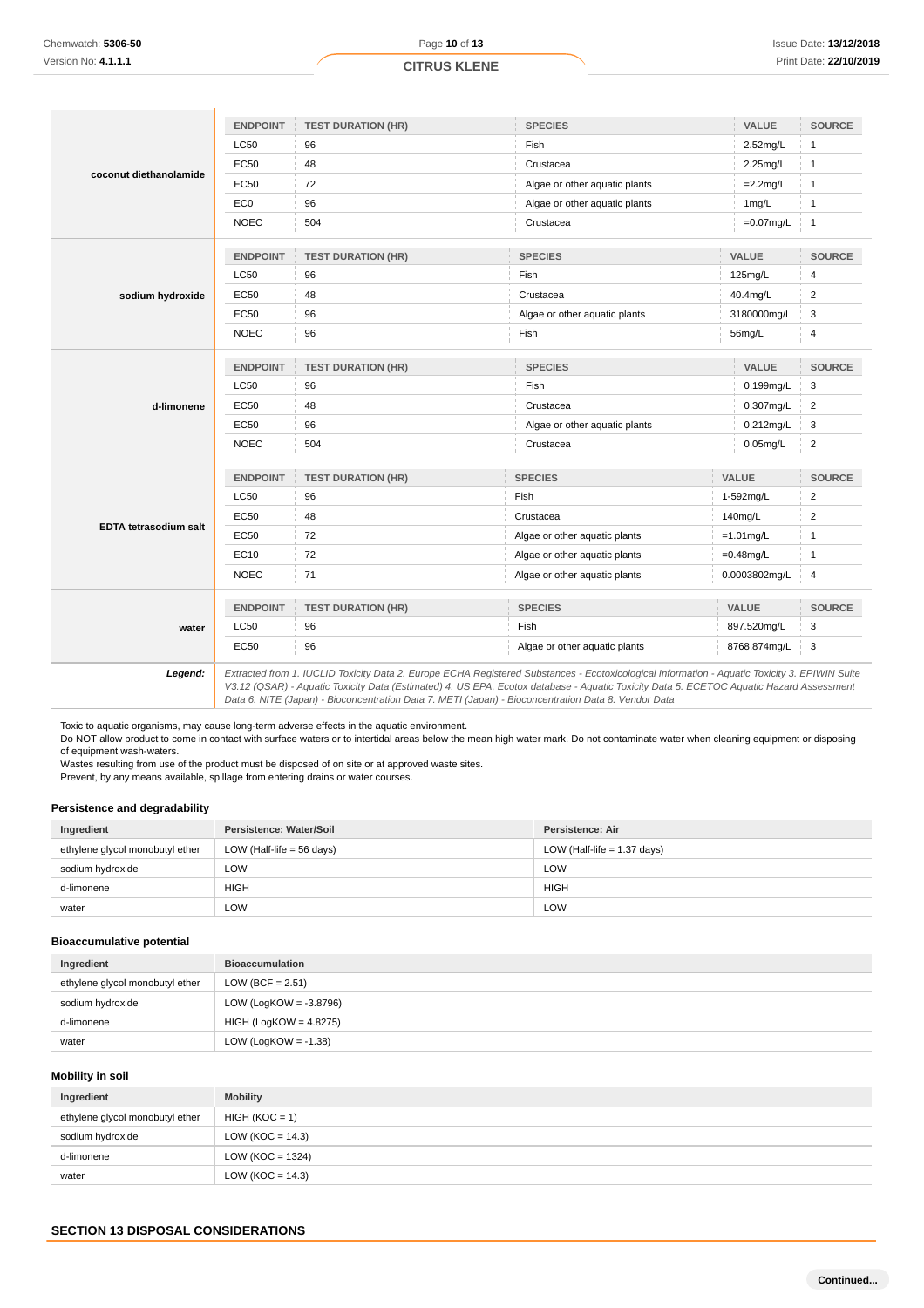|                              | <b>ENDPOINT</b> | <b>TEST DURATION (HR)</b> | <b>SPECIES</b>                                                                                                                                                                                                                                                                           |              | VALUE         | <b>SOURCE</b>           |
|------------------------------|-----------------|---------------------------|------------------------------------------------------------------------------------------------------------------------------------------------------------------------------------------------------------------------------------------------------------------------------------------|--------------|---------------|-------------------------|
|                              | <b>LC50</b>     | 96                        | Fish                                                                                                                                                                                                                                                                                     |              | 2.52mg/L      | 1                       |
|                              | EC50            | 48                        | Crustacea<br>2.25mg/L                                                                                                                                                                                                                                                                    |              |               | $\mathbf{1}$            |
| coconut diethanolamide       | <b>EC50</b>     | 72                        | Algae or other aquatic plants                                                                                                                                                                                                                                                            |              | $=2.2$ mg/L   | $\mathbf{1}$            |
|                              | EC <sub>0</sub> | 96                        | Algae or other aquatic plants<br>1mg/L                                                                                                                                                                                                                                                   |              |               | $\overline{1}$          |
|                              | <b>NOEC</b>     | 504                       | Crustacea                                                                                                                                                                                                                                                                                |              | $=0.07$ mg/L  | $\overline{1}$          |
|                              | <b>ENDPOINT</b> | <b>TEST DURATION (HR)</b> | <b>SPECIES</b>                                                                                                                                                                                                                                                                           |              | VALUE         | <b>SOURCE</b>           |
|                              | LC50            | 96                        | Fish                                                                                                                                                                                                                                                                                     |              | 125mg/L       | 4                       |
| sodium hydroxide             | <b>EC50</b>     | 48                        | Crustacea                                                                                                                                                                                                                                                                                |              | 40.4mg/L      | $\overline{2}$          |
|                              | <b>EC50</b>     | 96                        | Algae or other aquatic plants                                                                                                                                                                                                                                                            |              | 3180000mg/L   | 3                       |
|                              | <b>NOEC</b>     | 96                        | Fish                                                                                                                                                                                                                                                                                     |              | 56mg/L        | 4                       |
|                              | <b>ENDPOINT</b> | <b>TEST DURATION (HR)</b> | <b>SPECIES</b>                                                                                                                                                                                                                                                                           |              | VALUE         | SOURCE                  |
|                              | <b>LC50</b>     | 96                        | Fish                                                                                                                                                                                                                                                                                     | 0.199mg/L    |               | 3                       |
| d-limonene                   | EC50            | 48                        | Crustacea                                                                                                                                                                                                                                                                                | 0.307mg/L    |               | 2                       |
|                              | EC50            | 96                        | Algae or other aquatic plants                                                                                                                                                                                                                                                            |              | 0.212mg/L     | 3                       |
|                              | <b>NOEC</b>     | 504                       | Crustacea                                                                                                                                                                                                                                                                                |              | $0.05$ mg/L   | $\overline{\mathbf{c}}$ |
|                              | <b>ENDPOINT</b> | <b>TEST DURATION (HR)</b> | <b>SPECIES</b>                                                                                                                                                                                                                                                                           |              | <b>VALUE</b>  | <b>SOURCE</b>           |
|                              | LC50            | 96                        | Fish                                                                                                                                                                                                                                                                                     |              | 1-592mg/L     | $\overline{2}$          |
|                              | <b>EC50</b>     | 48                        | Crustacea                                                                                                                                                                                                                                                                                |              | 140mg/L       | $\overline{\mathbf{c}}$ |
| <b>EDTA tetrasodium salt</b> | EC50            | 72                        | Algae or other aquatic plants                                                                                                                                                                                                                                                            | $=1.01$ mg/L |               | $\mathbf{1}$            |
|                              | EC10            | 72                        | Algae or other aquatic plants                                                                                                                                                                                                                                                            | $=0.48$ mg/L |               | $\mathbf{1}$            |
|                              | <b>NOEC</b>     | 71                        | Algae or other aquatic plants                                                                                                                                                                                                                                                            |              | 0.0003802mg/L | $\overline{4}$          |
|                              | <b>ENDPOINT</b> | <b>TEST DURATION (HR)</b> | <b>SPECIES</b>                                                                                                                                                                                                                                                                           |              | VALUE         | <b>SOURCE</b>           |
| water                        | LC50            | 96                        | Fish                                                                                                                                                                                                                                                                                     |              | 897.520mg/L   | 3                       |
|                              | EC50            | 96                        | Algae or other aquatic plants                                                                                                                                                                                                                                                            |              | 8768.874mg/L  | 3                       |
| Legend:                      |                 |                           | Extracted from 1. IUCLID Toxicity Data 2. Europe ECHA Registered Substances - Ecotoxicological Information - Aquatic Toxicity 3. EPIWIN Suite<br>V3.12 (QSAR) - Aquatic Toxicity Data (Estimated) 4. US EPA, Ecotox database - Aquatic Toxicity Data 5. ECETOC Aquatic Hazard Assessment |              |               |                         |

Data 6. NITE (Japan) - Bioconcentration Data 7. METI (Japan) - Bioconcentration Data 8. Vendor Data

Toxic to aquatic organisms, may cause long-term adverse effects in the aquatic environment.

Do NOT allow product to come in contact with surface waters or to intertidal areas below the mean high water mark. Do not contaminate water when cleaning equipment or disposing of equipment wash-waters.

Wastes resulting from use of the product must be disposed of on site or at approved waste sites.

Prevent, by any means available, spillage from entering drains or water courses.

## **Persistence and degradability**

| Ingredient                      | Persistence: Water/Soil     | Persistence: Air              |
|---------------------------------|-----------------------------|-------------------------------|
| ethylene glycol monobutyl ether | LOW (Half-life $=$ 56 days) | LOW (Half-life $= 1.37$ days) |
| sodium hydroxide                | LOW                         | LOW                           |
| d-limonene                      | <b>HIGH</b>                 | <b>HIGH</b>                   |
| water                           | LOW                         | LOW                           |

### **Bioaccumulative potential**

| Ingredient                      | <b>Bioaccumulation</b>    |
|---------------------------------|---------------------------|
| ethylene glycol monobutyl ether | LOW (BCF = $2.51$ )       |
| sodium hydroxide                | LOW (LogKOW = $-3.8796$ ) |
| d-limonene                      | $HIGH (LogKOW = 4.8275)$  |
| water                           | LOW (LogKOW = $-1.38$ )   |

### **Mobility in soil**

| Ingredient                      | <b>Mobility</b>      |
|---------------------------------|----------------------|
| ethylene glycol monobutyl ether | $HIGH (KOC = 1)$     |
| sodium hydroxide                | LOW ( $KOC = 14.3$ ) |
| d-limonene                      | LOW ( $KOC = 1324$ ) |
| water                           | LOW ( $KOC = 14.3$ ) |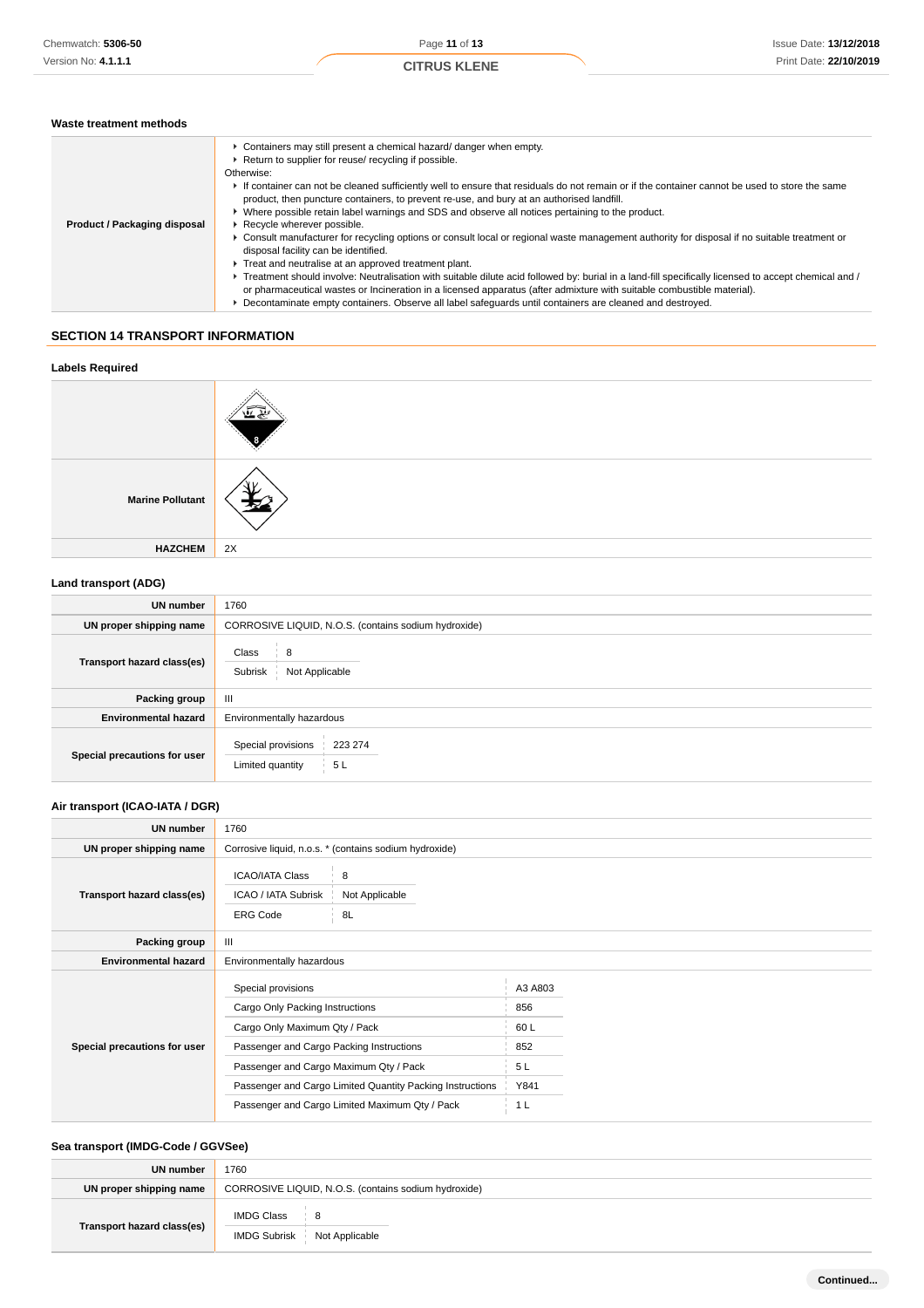### **Waste treatment methods**

|                              | • Containers may still present a chemical hazard/ danger when empty.<br>▶ Return to supplier for reuse/ recycling if possible.<br>Otherwise:                                                                                                                                     |
|------------------------------|----------------------------------------------------------------------------------------------------------------------------------------------------------------------------------------------------------------------------------------------------------------------------------|
|                              | If container can not be cleaned sufficiently well to ensure that residuals do not remain or if the container cannot be used to store the same                                                                                                                                    |
|                              | product, then puncture containers, to prevent re-use, and bury at an authorised landfill.                                                                                                                                                                                        |
|                              | ► Where possible retain label warnings and SDS and observe all notices pertaining to the product.                                                                                                                                                                                |
| Product / Packaging disposal | Recycle wherever possible.                                                                                                                                                                                                                                                       |
|                              | ► Consult manufacturer for recycling options or consult local or regional waste management authority for disposal if no suitable treatment or<br>disposal facility can be identified.                                                                                            |
|                              | Treat and neutralise at an approved treatment plant.                                                                                                                                                                                                                             |
|                              | ▶ Treatment should involve: Neutralisation with suitable dilute acid followed by: burial in a land-fill specifically licensed to accept chemical and /<br>or pharmaceutical wastes or Incineration in a licensed apparatus (after admixture with suitable combustible material). |
|                              | ▶ Decontaminate empty containers. Observe all label safeguards until containers are cleaned and destroyed.                                                                                                                                                                       |

## **SECTION 14 TRANSPORT INFORMATION**

# **Labels Required**



### **Land transport (ADG)**

| <b>UN number</b>             | 1760                                                    |  |
|------------------------------|---------------------------------------------------------|--|
| UN proper shipping name      | CORROSIVE LIQUID, N.O.S. (contains sodium hydroxide)    |  |
| Transport hazard class(es)   | Class<br>8<br>Not Applicable<br>Subrisk                 |  |
| Packing group                | $\mathbf{III}$                                          |  |
| <b>Environmental hazard</b>  | Environmentally hazardous                               |  |
| Special precautions for user | Special provisions<br>223 274<br>5L<br>Limited quantity |  |

# **Air transport (ICAO-IATA / DGR)**

| <b>UN number</b>             | 1760                                                                                                                                                                         |                                                                                                             |                                                         |  |
|------------------------------|------------------------------------------------------------------------------------------------------------------------------------------------------------------------------|-------------------------------------------------------------------------------------------------------------|---------------------------------------------------------|--|
| UN proper shipping name      | Corrosive liquid, n.o.s. * (contains sodium hydroxide)                                                                                                                       |                                                                                                             |                                                         |  |
| Transport hazard class(es)   | <b>ICAO/IATA Class</b><br>ICAO / IATA Subrisk<br><b>ERG Code</b>                                                                                                             | 8<br>Not Applicable<br>8L                                                                                   |                                                         |  |
| Packing group                | Ш                                                                                                                                                                            |                                                                                                             |                                                         |  |
| <b>Environmental hazard</b>  | Environmentally hazardous                                                                                                                                                    |                                                                                                             |                                                         |  |
| Special precautions for user | Special provisions<br>Cargo Only Packing Instructions<br>Cargo Only Maximum Qty / Pack<br>Passenger and Cargo Packing Instructions<br>Passenger and Cargo Maximum Qty / Pack | Passenger and Cargo Limited Quantity Packing Instructions<br>Passenger and Cargo Limited Maximum Qty / Pack | A3 A803<br>856<br>60L<br>852<br>5L<br>Y841<br>1 L<br>L. |  |

## **Sea transport (IMDG-Code / GGVSee)**

| UN number                  | 1760                                                 |  |
|----------------------------|------------------------------------------------------|--|
| UN proper shipping name    | CORROSIVE LIQUID, N.O.S. (contains sodium hydroxide) |  |
| Transport hazard class(es) | IMDG Class<br>8<br>IMDG Subrisk Not Applicable       |  |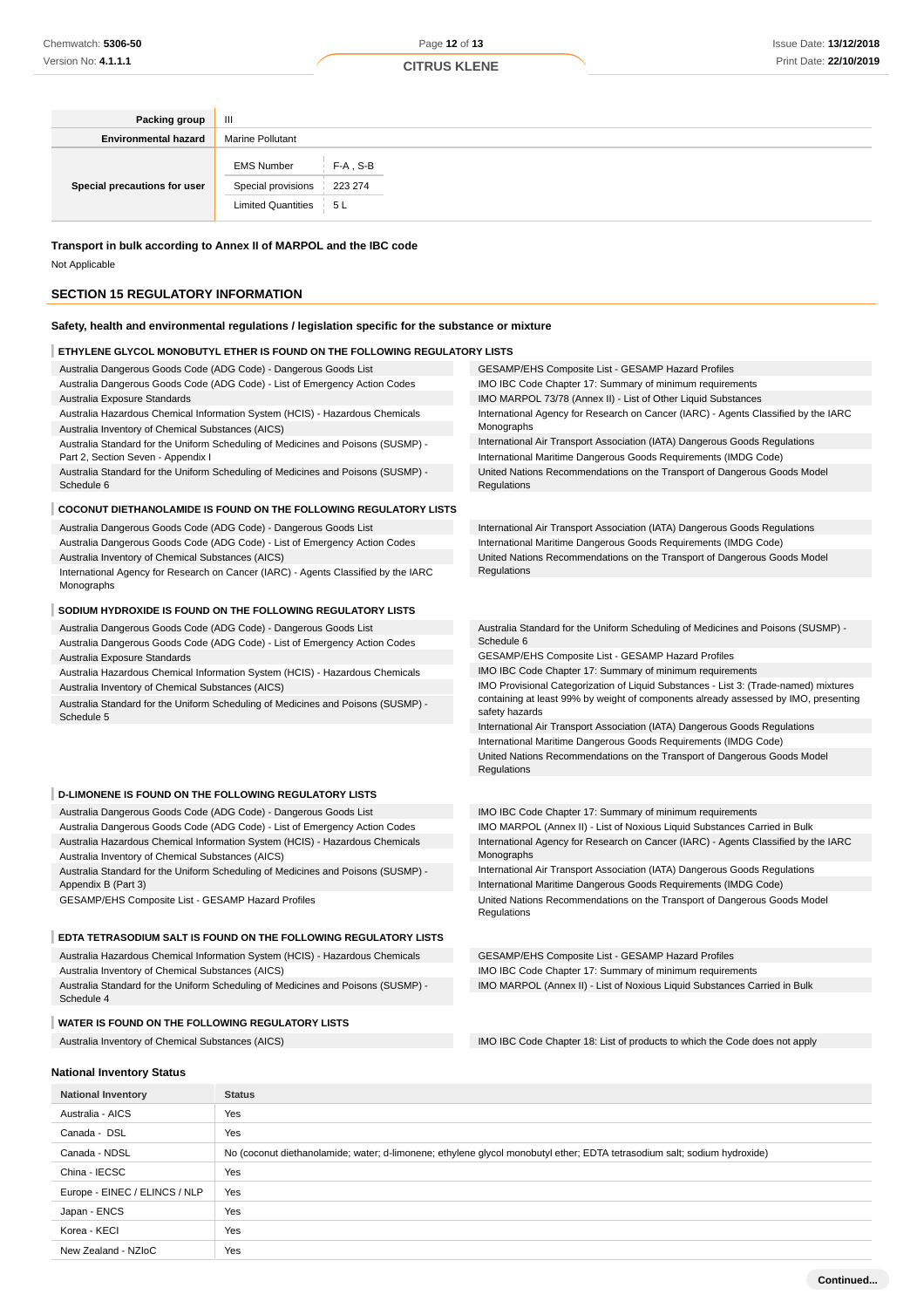| Packing group                | Ш                                                                                          |  |
|------------------------------|--------------------------------------------------------------------------------------------|--|
| <b>Environmental hazard</b>  | <b>Marine Pollutant</b>                                                                    |  |
| Special precautions for user | $F-A$ , S-B<br><b>EMS Number</b><br>Special provisions<br>223 274<br>Limited Quantities 5L |  |

**Transport in bulk according to Annex II of MARPOL and the IBC code**

Not Applicable

### **SECTION 15 REGULATORY INFORMATION**

### **Safety, health and environmental regulations / legislation specific for the substance or mixture**

#### **ETHYLENE GLYCOL MONOBUTYL ETHER IS FOUND ON THE FOLLOWING REGULATOR**

Australia Dangerous Goods Code (ADG Code) - Dangerous Goods List Australia Dangerous Goods Code (ADG Code) - List of Emergency Action Codes Australia Exposure Standards

Australia Hazardous Chemical Information System (HCIS) - Hazardous Chemicals Australia Inventory of Chemical Substances (AICS)

Australia Standard for the Uniform Scheduling of Medicines and Poisons (SUSMP) - Part 2, Section Seven - Appendix I

Australia Standard for the Uniform Scheduling of Medicines and Poisons (SUSMP) - Schedule 6

#### **COCONUT DIETHANOLAMIDE IS FOUND ON THE FOLLOWING REGULATORY LISTS**

Australia Dangerous Goods Code (ADG Code) - Dangerous Goods List

Australia Dangerous Goods Code (ADG Code) - List of Emergency Action Codes Australia Inventory of Chemical Substances (AICS)

International Agency for Research on Cancer (IARC) - Agents Classified by the IARC Monographs

#### **SODIUM HYDROXIDE IS FOUND ON THE FOLLOWING REGULATORY LISTS**

Australia Dangerous Goods Code (ADG Code) - Dangerous Goods List Australia Dangerous Goods Code (ADG Code) - List of Emergency Action Codes Australia Exposure Standards

Australia Hazardous Chemical Information System (HCIS) - Hazardous Chemicals Australia Inventory of Chemical Substances (AICS)

Australia Standard for the Uniform Scheduling of Medicines and Poisons (SUSMP) - Schedule 5

#### **D-LIMONENE IS FOUND ON THE FOLLOWING REGULATORY LISTS**

Australia Dangerous Goods Code (ADG Code) - Dangerous Goods List Australia Dangerous Goods Code (ADG Code) - List of Emergency Action Codes Australia Hazardous Chemical Information System (HCIS) - Hazardous Chemicals Australia Inventory of Chemical Substances (AICS)

Australia Standard for the Uniform Scheduling of Medicines and Poisons (SUSMP) - Appendix B (Part 3)

GESAMP/EHS Composite List - GESAMP Hazard Profiles

### **EDTA TETRASODIUM SALT IS FOUND ON THE FOLLOWING REGULATORY LISTS**

Australia Hazardous Chemical Information System (HCIS) - Hazardous Chemicals Australia Inventory of Chemical Substances (AICS)

Australia Standard for the Uniform Scheduling of Medicines and Poisons (SUSMP) - Schedule 4

#### **WATER IS FOUND ON THE FOLLOWING REGULATORY LISTS**

| ≀Y LISTS                                                                                         |  |
|--------------------------------------------------------------------------------------------------|--|
| GESAMP/EHS Composite List - GESAMP Hazard Profiles                                               |  |
| IMO IBC Code Chapter 17: Summary of minimum requirements                                         |  |
| IMO MARPOL 73/78 (Annex II) - List of Other Liquid Substances                                    |  |
| International Agency for Research on Cancer (IARC) - Agents Classified by the IARC<br>Monographs |  |
| International Air Transport Association (IATA) Dangerous Goods Regulations                       |  |
| International Maritime Dangerous Goods Requirements (IMDG Code)                                  |  |
| United Nations Recommendations on the Transport of Dangerous Goods Model<br>Regulations          |  |

International Air Transport Association (IATA) Dangerous Goods Regulations International Maritime Dangerous Goods Requirements (IMDG Code) United Nations Recommendations on the Transport of Dangerous Goods Model Regulations

Australia Standard for the Uniform Scheduling of Medicines and Poisons (SUSMP) - Schedule 6

GESAMP/EHS Composite List - GESAMP Hazard Profiles

IMO IBC Code Chapter 17: Summary of minimum requirements

IMO Provisional Categorization of Liquid Substances - List 3: (Trade-named) mixtures containing at least 99% by weight of components already assessed by IMO, presenting safety hazards

International Air Transport Association (IATA) Dangerous Goods Regulations

International Maritime Dangerous Goods Requirements (IMDG Code)

United Nations Recommendations on the Transport of Dangerous Goods Model Regulations

IMO IBC Code Chapter 17: Summary of minimum requirements IMO MARPOL (Annex II) - List of Noxious Liquid Substances Carried in Bulk International Agency for Research on Cancer (IARC) - Agents Classified by the IARC Monographs

International Air Transport Association (IATA) Dangerous Goods Regulations International Maritime Dangerous Goods Requirements (IMDG Code) United Nations Recommendations on the Transport of Dangerous Goods Model **Regulations** 

GESAMP/EHS Composite List - GESAMP Hazard Profiles IMO IBC Code Chapter 17: Summary of minimum requirements IMO MARPOL (Annex II) - List of Noxious Liquid Substances Carried in Bulk

Australia Inventory of Chemical Substances (AICS) **IMO IBC Code Chapter 18:** List of products to which the Code does not apply

**Continued...**

#### **National Inventory Status**

| <b>National Inventory</b>     | <b>Status</b>                                                                                                            |
|-------------------------------|--------------------------------------------------------------------------------------------------------------------------|
| Australia - AICS              | Yes                                                                                                                      |
| Canada - DSL                  | Yes                                                                                                                      |
| Canada - NDSL                 | No (coconut diethanolamide; water; d-limonene; ethylene glycol monobutyl ether; EDTA tetrasodium salt; sodium hydroxide) |
| China - IECSC                 | Yes                                                                                                                      |
| Europe - EINEC / ELINCS / NLP | Yes                                                                                                                      |
| Japan - ENCS                  | Yes                                                                                                                      |
| Korea - KECI                  | Yes                                                                                                                      |
| New Zealand - NZIoC           | Yes                                                                                                                      |